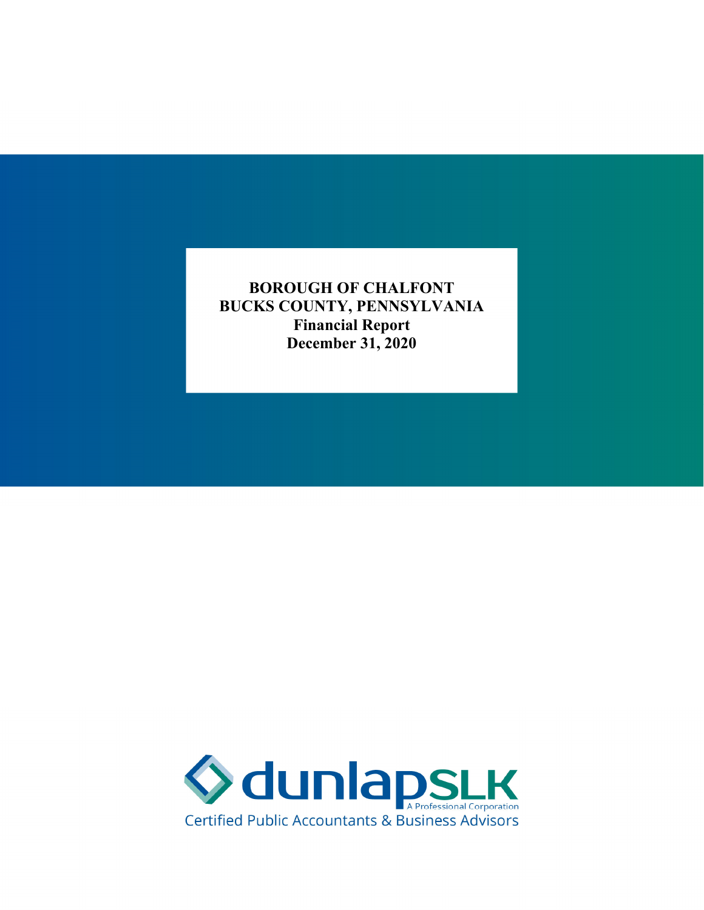**BOROUGH OF CHALFONT BUCKS COUNTY, PENNSYLVANIA Financial Report December 31, 2020** 

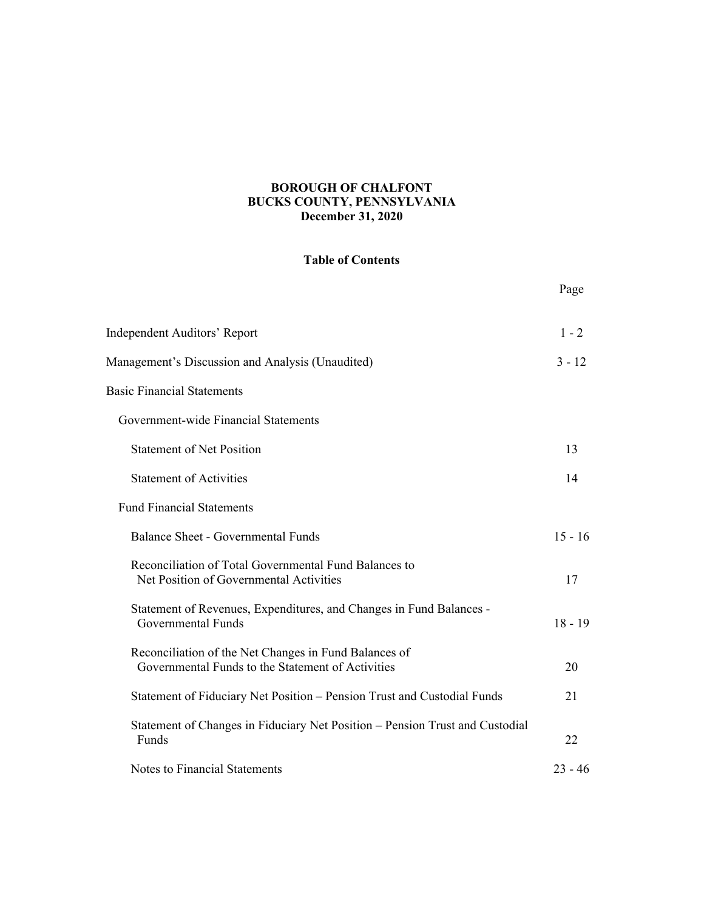# **BOROUGH OF CHALFONT BUCKS COUNTY, PENNSYLVANIA December 31, 2020**

# **Table of Contents**

|                                                                                                            | Page      |
|------------------------------------------------------------------------------------------------------------|-----------|
| Independent Auditors' Report                                                                               | $1 - 2$   |
| Management's Discussion and Analysis (Unaudited)                                                           | $3 - 12$  |
| <b>Basic Financial Statements</b>                                                                          |           |
| Government-wide Financial Statements                                                                       |           |
| <b>Statement of Net Position</b>                                                                           | 13        |
| <b>Statement of Activities</b>                                                                             | 14        |
| <b>Fund Financial Statements</b>                                                                           |           |
| Balance Sheet - Governmental Funds                                                                         | $15 - 16$ |
| Reconciliation of Total Governmental Fund Balances to<br>Net Position of Governmental Activities           | 17        |
| Statement of Revenues, Expenditures, and Changes in Fund Balances -<br>Governmental Funds                  | $18 - 19$ |
| Reconciliation of the Net Changes in Fund Balances of<br>Governmental Funds to the Statement of Activities | 20        |
| Statement of Fiduciary Net Position - Pension Trust and Custodial Funds                                    | 21        |
| Statement of Changes in Fiduciary Net Position - Pension Trust and Custodial<br>Funds                      | 22        |
| Notes to Financial Statements                                                                              | $23 - 46$ |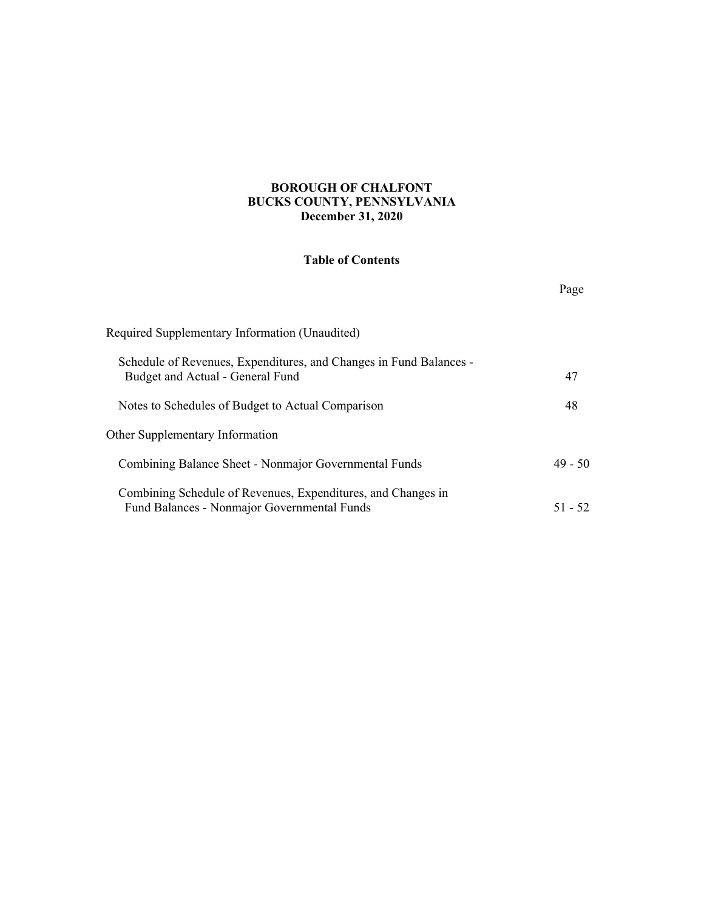# **BOROUGH OF CHALFONT BUCKS COUNTY, PENNSYLVANIA December 31, 2020**

# **Table of Contents**

|                                                                                                             | Page      |
|-------------------------------------------------------------------------------------------------------------|-----------|
| Required Supplementary Information (Unaudited)                                                              |           |
| Schedule of Revenues, Expenditures, and Changes in Fund Balances -<br>Budget and Actual - General Fund      | 47        |
| Notes to Schedules of Budget to Actual Comparison                                                           | 48        |
| Other Supplementary Information                                                                             |           |
| Combining Balance Sheet - Nonmajor Governmental Funds                                                       | $49 - 50$ |
| Combining Schedule of Revenues, Expenditures, and Changes in<br>Fund Balances - Nonmajor Governmental Funds | $51 - 52$ |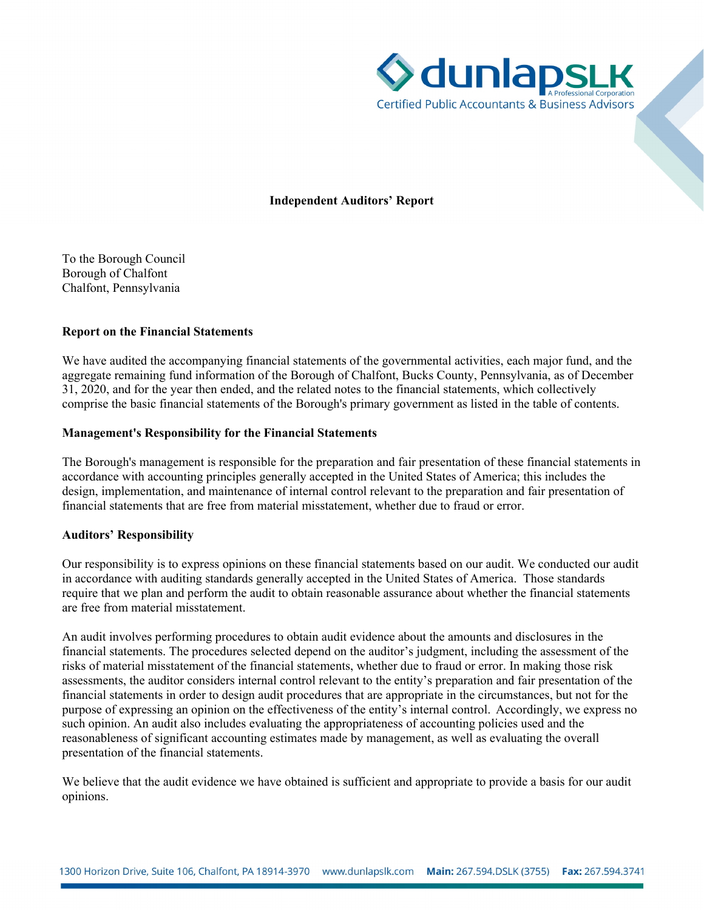

#### **Independent Auditors' Report**

To the Borough Council Borough of Chalfont Chalfont, Pennsylvania

#### **Report on the Financial Statements**

We have audited the accompanying financial statements of the governmental activities, each major fund, and the aggregate remaining fund information of the Borough of Chalfont, Bucks County, Pennsylvania, as of December 31, 2020, and for the year then ended, and the related notes to the financial statements, which collectively comprise the basic financial statements of the Borough's primary government as listed in the table of contents.

#### **Management's Responsibility for the Financial Statements**

The Borough's management is responsible for the preparation and fair presentation of these financial statements in accordance with accounting principles generally accepted in the United States of America; this includes the design, implementation, and maintenance of internal control relevant to the preparation and fair presentation of financial statements that are free from material misstatement, whether due to fraud or error.

#### **Auditors' Responsibility**

Our responsibility is to express opinions on these financial statements based on our audit. We conducted our audit in accordance with auditing standards generally accepted in the United States of America. Those standards require that we plan and perform the audit to obtain reasonable assurance about whether the financial statements are free from material misstatement.

An audit involves performing procedures to obtain audit evidence about the amounts and disclosures in the financial statements. The procedures selected depend on the auditor's judgment, including the assessment of the risks of material misstatement of the financial statements, whether due to fraud or error. In making those risk assessments, the auditor considers internal control relevant to the entity's preparation and fair presentation of the financial statements in order to design audit procedures that are appropriate in the circumstances, but not for the purpose of expressing an opinion on the effectiveness of the entity's internal control. Accordingly, we express no such opinion. An audit also includes evaluating the appropriateness of accounting policies used and the reasonableness of significant accounting estimates made by management, as well as evaluating the overall presentation of the financial statements.

We believe that the audit evidence we have obtained is sufficient and appropriate to provide a basis for our audit opinions.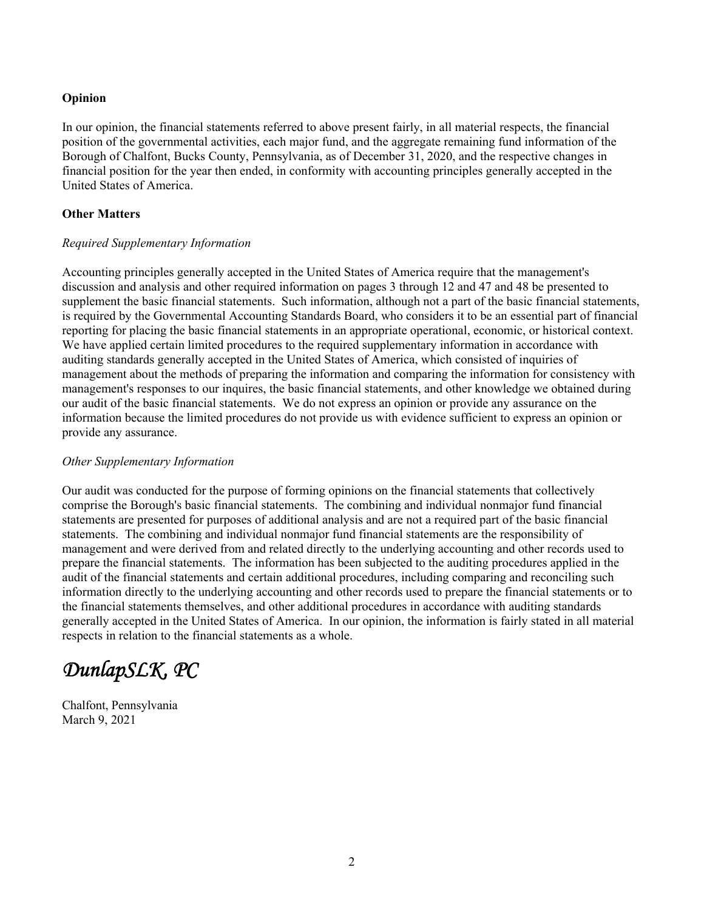# **Opinion**

In our opinion, the financial statements referred to above present fairly, in all material respects, the financial position of the governmental activities, each major fund, and the aggregate remaining fund information of the Borough of Chalfont, Bucks County, Pennsylvania, as of December 31, 2020, and the respective changes in financial position for the year then ended, in conformity with accounting principles generally accepted in the United States of America.

# **Other Matters**

#### *Required Supplementary Information*

Accounting principles generally accepted in the United States of America require that the management's discussion and analysis and other required information on pages 3 through 12 and 47 and 48 be presented to supplement the basic financial statements. Such information, although not a part of the basic financial statements, is required by the Governmental Accounting Standards Board, who considers it to be an essential part of financial reporting for placing the basic financial statements in an appropriate operational, economic, or historical context. We have applied certain limited procedures to the required supplementary information in accordance with auditing standards generally accepted in the United States of America, which consisted of inquiries of management about the methods of preparing the information and comparing the information for consistency with management's responses to our inquires, the basic financial statements, and other knowledge we obtained during our audit of the basic financial statements. We do not express an opinion or provide any assurance on the information because the limited procedures do not provide us with evidence sufficient to express an opinion or provide any assurance.

## *Other Supplementary Information*

Our audit was conducted for the purpose of forming opinions on the financial statements that collectively comprise the Borough's basic financial statements. The combining and individual nonmajor fund financial statements are presented for purposes of additional analysis and are not a required part of the basic financial statements. The combining and individual nonmajor fund financial statements are the responsibility of management and were derived from and related directly to the underlying accounting and other records used to prepare the financial statements. The information has been subjected to the auditing procedures applied in the audit of the financial statements and certain additional procedures, including comparing and reconciling such information directly to the underlying accounting and other records used to prepare the financial statements or to the financial statements themselves, and other additional procedures in accordance with auditing standards generally accepted in the United States of America. In our opinion, the information is fairly stated in all material respects in relation to the financial statements as a whole.

# *DunlapSLK, PC*

Chalfont, Pennsylvania March 9, 2021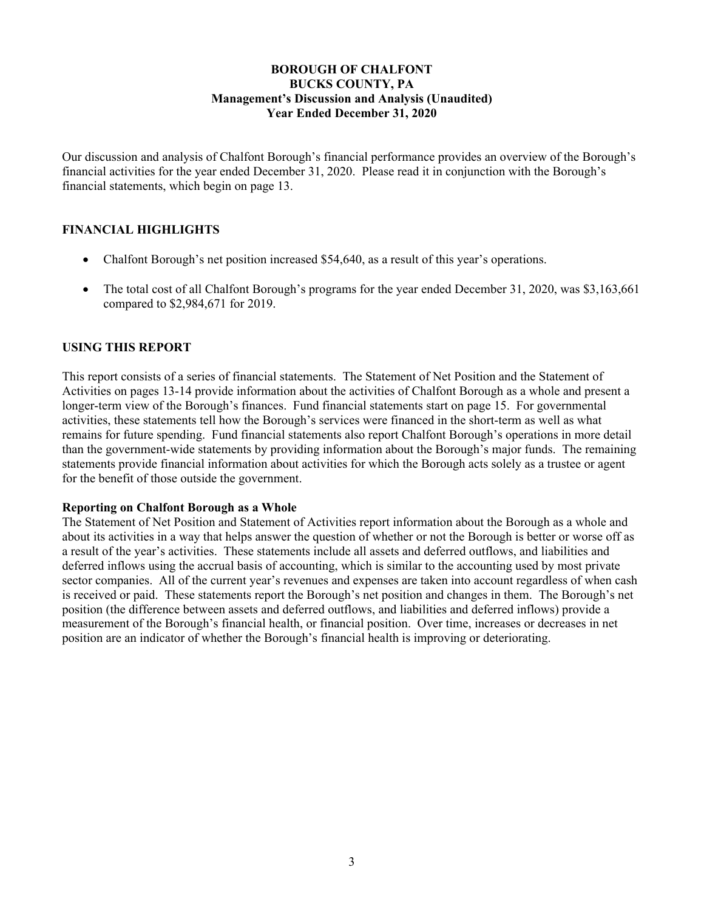Our discussion and analysis of Chalfont Borough's financial performance provides an overview of the Borough's financial activities for the year ended December 31, 2020. Please read it in conjunction with the Borough's financial statements, which begin on page 13.

# **FINANCIAL HIGHLIGHTS**

- Chalfont Borough's net position increased \$54,640, as a result of this year's operations.
- The total cost of all Chalfont Borough's programs for the year ended December 31, 2020, was \$3,163,661 compared to \$2,984,671 for 2019.

# **USING THIS REPORT**

This report consists of a series of financial statements. The Statement of Net Position and the Statement of Activities on pages 13-14 provide information about the activities of Chalfont Borough as a whole and present a longer-term view of the Borough's finances. Fund financial statements start on page 15. For governmental activities, these statements tell how the Borough's services were financed in the short-term as well as what remains for future spending. Fund financial statements also report Chalfont Borough's operations in more detail than the government-wide statements by providing information about the Borough's major funds. The remaining statements provide financial information about activities for which the Borough acts solely as a trustee or agent for the benefit of those outside the government.

#### **Reporting on Chalfont Borough as a Whole**

The Statement of Net Position and Statement of Activities report information about the Borough as a whole and about its activities in a way that helps answer the question of whether or not the Borough is better or worse off as a result of the year's activities. These statements include all assets and deferred outflows, and liabilities and deferred inflows using the accrual basis of accounting, which is similar to the accounting used by most private sector companies. All of the current year's revenues and expenses are taken into account regardless of when cash is received or paid. These statements report the Borough's net position and changes in them. The Borough's net position (the difference between assets and deferred outflows, and liabilities and deferred inflows) provide a measurement of the Borough's financial health, or financial position. Over time, increases or decreases in net position are an indicator of whether the Borough's financial health is improving or deteriorating.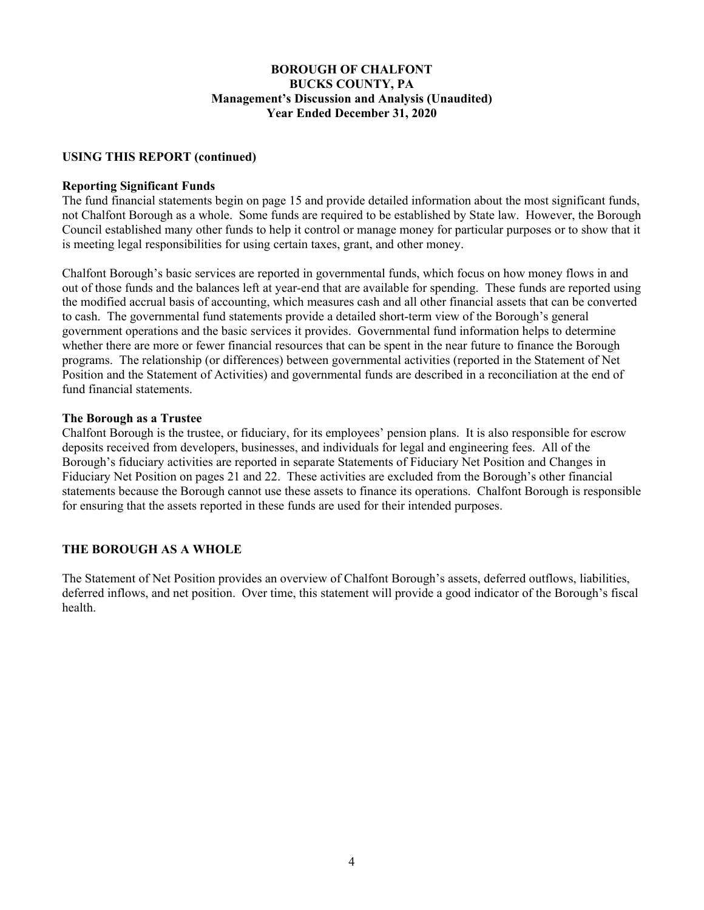#### **USING THIS REPORT (continued)**

#### **Reporting Significant Funds**

The fund financial statements begin on page 15 and provide detailed information about the most significant funds, not Chalfont Borough as a whole. Some funds are required to be established by State law. However, the Borough Council established many other funds to help it control or manage money for particular purposes or to show that it is meeting legal responsibilities for using certain taxes, grant, and other money.

Chalfont Borough's basic services are reported in governmental funds, which focus on how money flows in and out of those funds and the balances left at year-end that are available for spending. These funds are reported using the modified accrual basis of accounting, which measures cash and all other financial assets that can be converted to cash. The governmental fund statements provide a detailed short-term view of the Borough's general government operations and the basic services it provides. Governmental fund information helps to determine whether there are more or fewer financial resources that can be spent in the near future to finance the Borough programs. The relationship (or differences) between governmental activities (reported in the Statement of Net Position and the Statement of Activities) and governmental funds are described in a reconciliation at the end of fund financial statements.

#### **The Borough as a Trustee**

Chalfont Borough is the trustee, or fiduciary, for its employees' pension plans. It is also responsible for escrow deposits received from developers, businesses, and individuals for legal and engineering fees. All of the Borough's fiduciary activities are reported in separate Statements of Fiduciary Net Position and Changes in Fiduciary Net Position on pages 21 and 22. These activities are excluded from the Borough's other financial statements because the Borough cannot use these assets to finance its operations. Chalfont Borough is responsible for ensuring that the assets reported in these funds are used for their intended purposes.

#### **THE BOROUGH AS A WHOLE**

The Statement of Net Position provides an overview of Chalfont Borough's assets, deferred outflows, liabilities, deferred inflows, and net position. Over time, this statement will provide a good indicator of the Borough's fiscal health.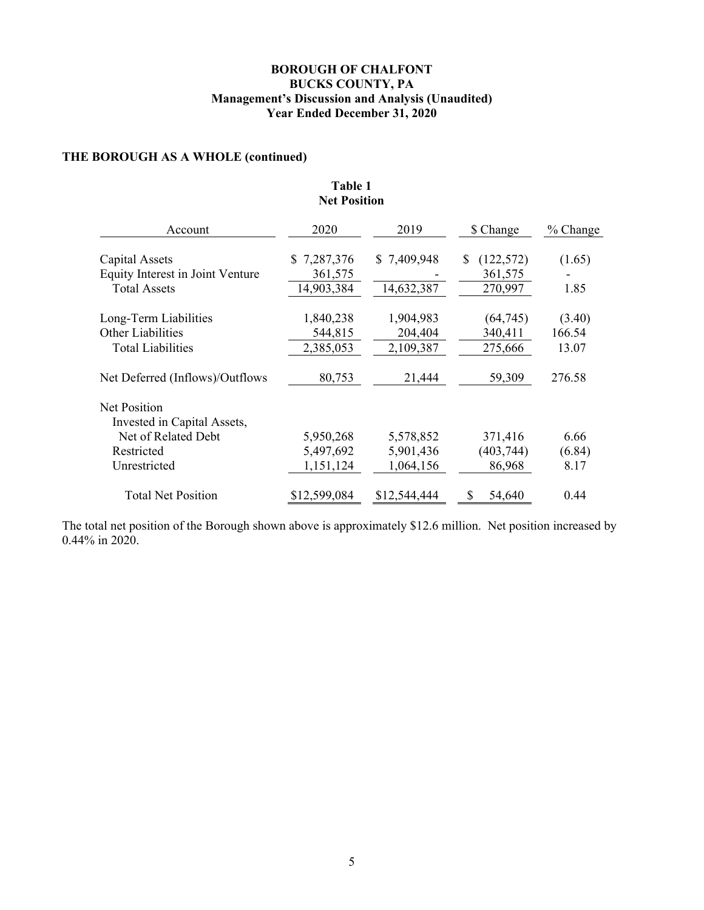# **THE BOROUGH AS A WHOLE (continued)**

| 2020         | 2019                 | \$ Change            | % Change             |
|--------------|----------------------|----------------------|----------------------|
| \$7,287,376  | \$7,409,948          | \$<br>(122, 572)     | (1.65)               |
| 361,575      |                      | 361,575              |                      |
| 14,903,384   | 14,632,387           | 270,997              | 1.85                 |
|              |                      |                      | (3.40)               |
|              |                      |                      | 166.54               |
| 2,385,053    | 2,109,387            | 275,666              | 13.07                |
| 80,753       | 21,444               | 59,309               | 276.58               |
|              |                      |                      |                      |
|              |                      |                      |                      |
| 5,950,268    | 5,578,852            | 371,416              | 6.66                 |
| 5,497,692    | 5,901,436            | (403, 744)           | (6.84)               |
| 1,151,124    | 1,064,156            | 86,968               | 8.17                 |
| \$12,599,084 | \$12,544,444         | 54,640               | 0.44                 |
|              | 1,840,238<br>544,815 | 1,904,983<br>204,404 | (64, 745)<br>340,411 |

#### **Table 1 Net Position**

The total net position of the Borough shown above is approximately \$12.6 million. Net position increased by 0.44% in 2020.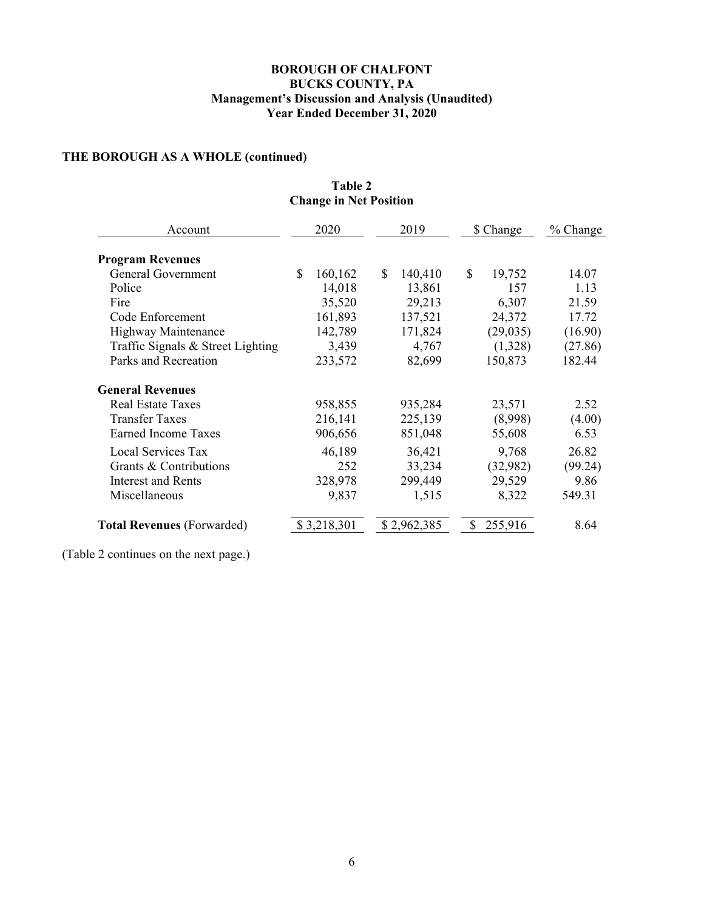# **THE BOROUGH AS A WHOLE (continued)**

|                                   | <b>Change in Net Position</b> |               |               |            |
|-----------------------------------|-------------------------------|---------------|---------------|------------|
| Account                           | 2020                          | 2019          | \$ Change     | $%$ Change |
| <b>Program Revenues</b>           |                               |               |               |            |
| General Government                | \$<br>160,162                 | \$<br>140,410 | \$<br>19,752  | 14.07      |
| Police                            | 14,018                        | 13,861        | 157           | 1.13       |
| Fire                              | 35,520                        | 29,213        | 6,307         | 21.59      |
| Code Enforcement                  | 161,893                       | 137,521       | 24,372        | 17.72      |
| Highway Maintenance               | 142,789                       | 171,824       | (29, 035)     | (16.90)    |
| Traffic Signals & Street Lighting | 3,439                         | 4,767         | (1,328)       | (27.86)    |
| Parks and Recreation              | 233,572                       | 82,699        | 150,873       | 182.44     |
| <b>General Revenues</b>           |                               |               |               |            |
| <b>Real Estate Taxes</b>          | 958,855                       | 935,284       | 23,571        | 2.52       |
| <b>Transfer Taxes</b>             | 216,141                       | 225,139       | (8,998)       | (4.00)     |
| <b>Earned Income Taxes</b>        | 906,656                       | 851,048       | 55,608        | 6.53       |
| Local Services Tax                | 46,189                        | 36,421        | 9,768         | 26.82      |
| Grants & Contributions            | 252                           | 33,234        | (32,982)      | (99.24)    |
| <b>Interest and Rents</b>         | 328,978                       | 299,449       | 29,529        | 9.86       |
| Miscellaneous                     | 9,837                         | 1,515         | 8,322         | 549.31     |
| <b>Total Revenues (Forwarded)</b> | \$3,218,301                   | \$2,962,385   | \$<br>255,916 | 8.64       |

**Table 2** 

(Table 2 continues on the next page.)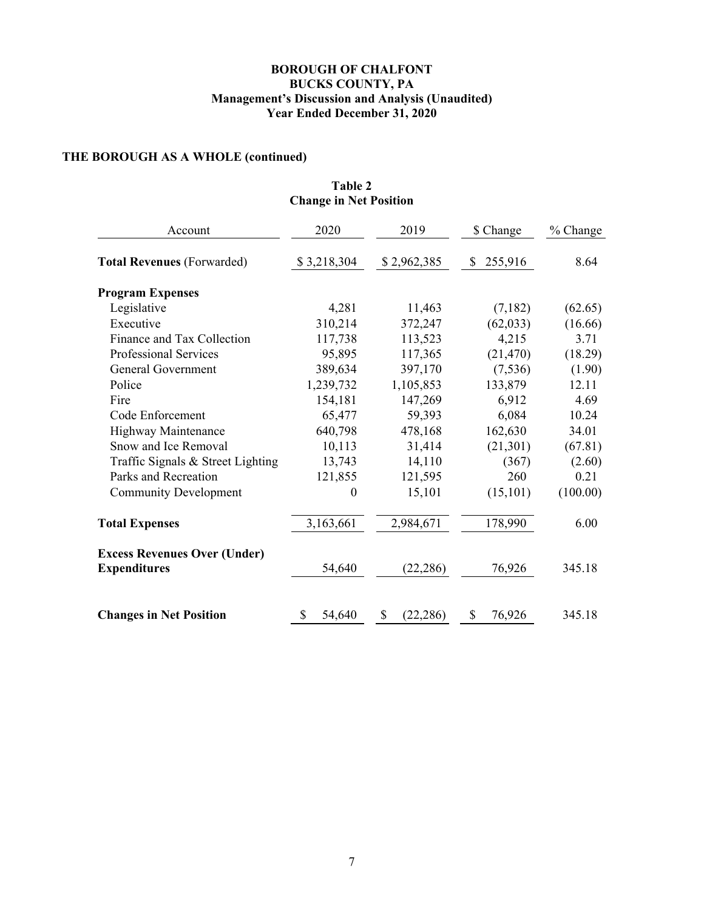# **THE BOROUGH AS A WHOLE (continued)**

| <b>Table 2</b><br><b>Change in Net Position</b>            |                  |                 |               |          |  |
|------------------------------------------------------------|------------------|-----------------|---------------|----------|--|
| Account                                                    | 2020             | 2019            | \$ Change     | % Change |  |
| <b>Total Revenues (Forwarded)</b>                          | \$3,218,304      | \$2,962,385     | 255,916<br>\$ | 8.64     |  |
| <b>Program Expenses</b>                                    |                  |                 |               |          |  |
| Legislative                                                | 4,281            | 11,463          | (7,182)       | (62.65)  |  |
| Executive                                                  | 310,214          | 372,247         | (62, 033)     | (16.66)  |  |
| Finance and Tax Collection                                 | 117,738          | 113,523         | 4,215         | 3.71     |  |
| <b>Professional Services</b>                               | 95,895           | 117,365         | (21, 470)     | (18.29)  |  |
| <b>General Government</b>                                  | 389,634          | 397,170         | (7, 536)      | (1.90)   |  |
| Police                                                     | 1,239,732        | 1,105,853       | 133,879       | 12.11    |  |
| Fire                                                       | 154,181          | 147,269         | 6,912         | 4.69     |  |
| Code Enforcement                                           | 65,477           | 59,393          | 6,084         | 10.24    |  |
| Highway Maintenance                                        | 640,798          | 478,168         | 162,630       | 34.01    |  |
| Snow and Ice Removal                                       | 10,113           | 31,414          | (21,301)      | (67.81)  |  |
| Traffic Signals & Street Lighting                          | 13,743           | 14,110          | (367)         | (2.60)   |  |
| Parks and Recreation                                       | 121,855          | 121,595         | 260           | 0.21     |  |
| <b>Community Development</b>                               | $\boldsymbol{0}$ | 15,101          | (15, 101)     | (100.00) |  |
| <b>Total Expenses</b>                                      | 3,163,661        | 2,984,671       | 178,990       | 6.00     |  |
| <b>Excess Revenues Over (Under)</b><br><b>Expenditures</b> | 54,640           | (22, 286)       | 76,926        | 345.18   |  |
| <b>Changes in Net Position</b>                             | 54,640<br>\$     | \$<br>(22, 286) | 76,926<br>\$  | 345.18   |  |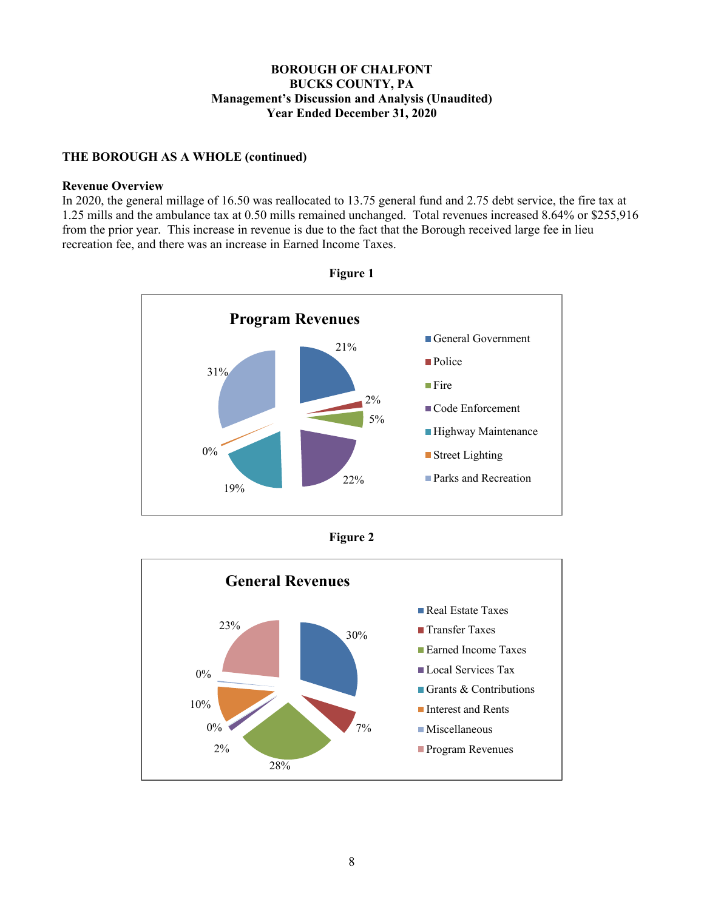#### **THE BOROUGH AS A WHOLE (continued)**

#### **Revenue Overview**

In 2020, the general millage of 16.50 was reallocated to 13.75 general fund and 2.75 debt service, the fire tax at 1.25 mills and the ambulance tax at 0.50 mills remained unchanged. Total revenues increased 8.64% or \$255,916 from the prior year. This increase in revenue is due to the fact that the Borough received large fee in lieu recreation fee, and there was an increase in Earned Income Taxes.







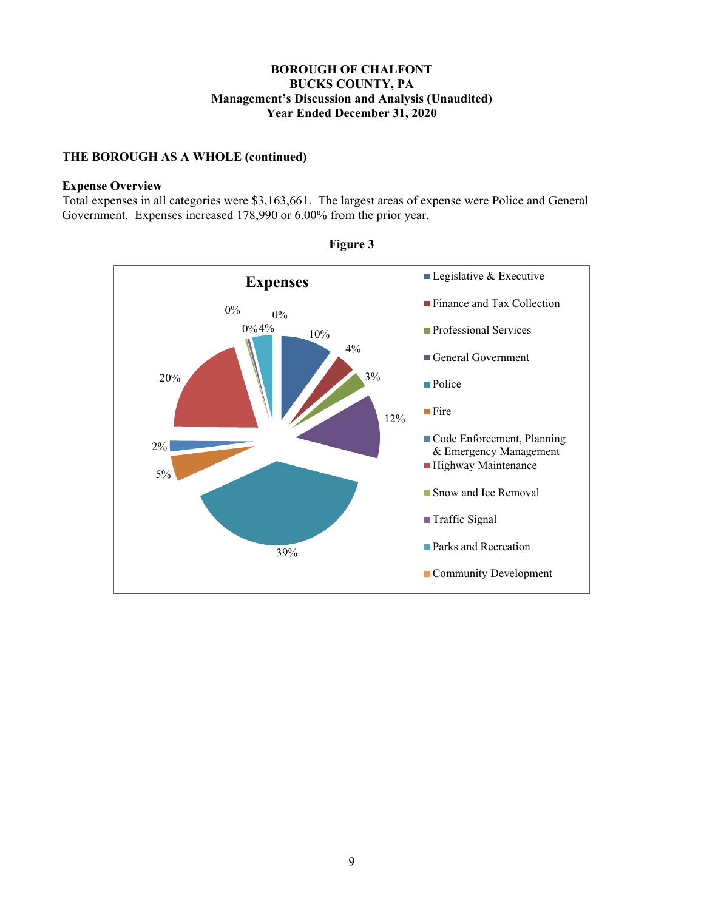#### **THE BOROUGH AS A WHOLE (continued)**

#### **Expense Overview**

Total expenses in all categories were \$3,163,661. The largest areas of expense were Police and General Government. Expenses increased 178,990 or 6.00% from the prior year.



**Figure 3**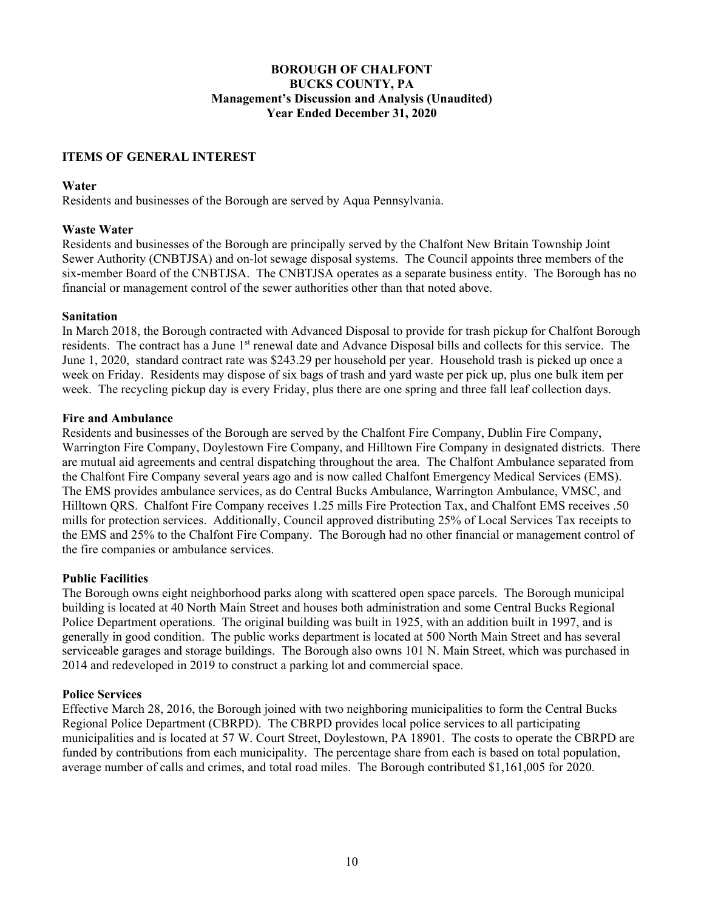# **ITEMS OF GENERAL INTEREST**

#### **Water**

Residents and businesses of the Borough are served by Aqua Pennsylvania.

#### **Waste Water**

Residents and businesses of the Borough are principally served by the Chalfont New Britain Township Joint Sewer Authority (CNBTJSA) and on-lot sewage disposal systems. The Council appoints three members of the six-member Board of the CNBTJSA. The CNBTJSA operates as a separate business entity. The Borough has no financial or management control of the sewer authorities other than that noted above.

#### **Sanitation**

In March 2018, the Borough contracted with Advanced Disposal to provide for trash pickup for Chalfont Borough residents. The contract has a June 1<sup>st</sup> renewal date and Advance Disposal bills and collects for this service. The June 1, 2020, standard contract rate was \$243.29 per household per year. Household trash is picked up once a week on Friday. Residents may dispose of six bags of trash and yard waste per pick up, plus one bulk item per week. The recycling pickup day is every Friday, plus there are one spring and three fall leaf collection days.

#### **Fire and Ambulance**

Residents and businesses of the Borough are served by the Chalfont Fire Company, Dublin Fire Company, Warrington Fire Company, Doylestown Fire Company, and Hilltown Fire Company in designated districts. There are mutual aid agreements and central dispatching throughout the area. The Chalfont Ambulance separated from the Chalfont Fire Company several years ago and is now called Chalfont Emergency Medical Services (EMS). The EMS provides ambulance services, as do Central Bucks Ambulance, Warrington Ambulance, VMSC, and Hilltown QRS. Chalfont Fire Company receives 1.25 mills Fire Protection Tax, and Chalfont EMS receives .50 mills for protection services. Additionally, Council approved distributing 25% of Local Services Tax receipts to the EMS and 25% to the Chalfont Fire Company. The Borough had no other financial or management control of the fire companies or ambulance services.

#### **Public Facilities**

The Borough owns eight neighborhood parks along with scattered open space parcels. The Borough municipal building is located at 40 North Main Street and houses both administration and some Central Bucks Regional Police Department operations. The original building was built in 1925, with an addition built in 1997, and is generally in good condition. The public works department is located at 500 North Main Street and has several serviceable garages and storage buildings. The Borough also owns 101 N. Main Street, which was purchased in 2014 and redeveloped in 2019 to construct a parking lot and commercial space.

#### **Police Services**

Effective March 28, 2016, the Borough joined with two neighboring municipalities to form the Central Bucks Regional Police Department (CBRPD). The CBRPD provides local police services to all participating municipalities and is located at 57 W. Court Street, Doylestown, PA 18901. The costs to operate the CBRPD are funded by contributions from each municipality. The percentage share from each is based on total population, average number of calls and crimes, and total road miles. The Borough contributed \$1,161,005 for 2020.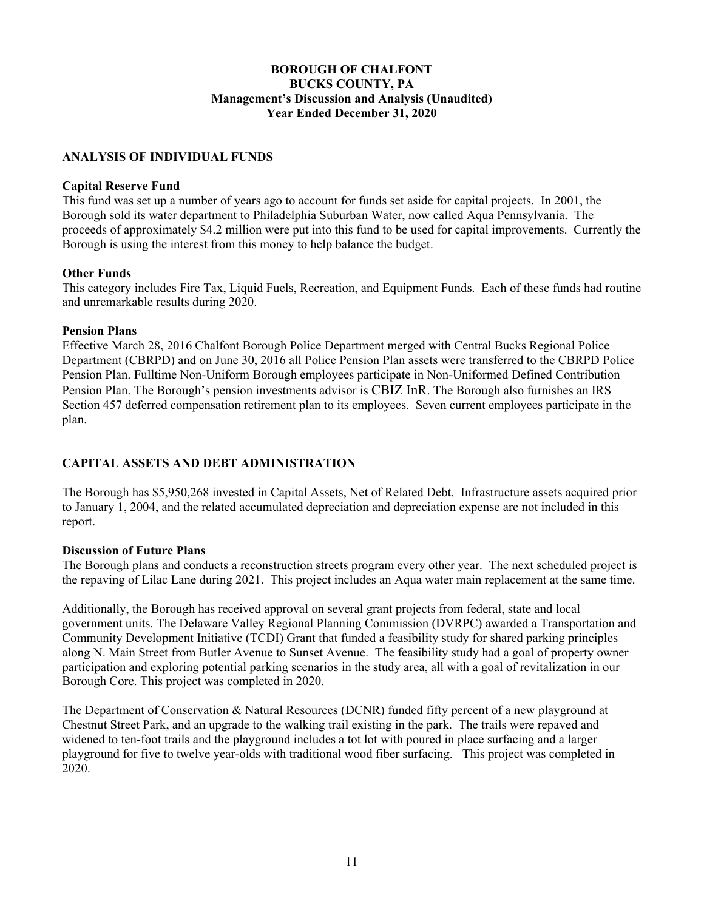# **ANALYSIS OF INDIVIDUAL FUNDS**

#### **Capital Reserve Fund**

This fund was set up a number of years ago to account for funds set aside for capital projects. In 2001, the Borough sold its water department to Philadelphia Suburban Water, now called Aqua Pennsylvania. The proceeds of approximately \$4.2 million were put into this fund to be used for capital improvements. Currently the Borough is using the interest from this money to help balance the budget.

#### **Other Funds**

This category includes Fire Tax, Liquid Fuels, Recreation, and Equipment Funds. Each of these funds had routine and unremarkable results during 2020.

#### **Pension Plans**

Effective March 28, 2016 Chalfont Borough Police Department merged with Central Bucks Regional Police Department (CBRPD) and on June 30, 2016 all Police Pension Plan assets were transferred to the CBRPD Police Pension Plan. Fulltime Non-Uniform Borough employees participate in Non-Uniformed Defined Contribution Pension Plan. The Borough's pension investments advisor is CBIZ InR. The Borough also furnishes an IRS Section 457 deferred compensation retirement plan to its employees. Seven current employees participate in the plan.

# **CAPITAL ASSETS AND DEBT ADMINISTRATION**

The Borough has \$5,950,268 invested in Capital Assets, Net of Related Debt. Infrastructure assets acquired prior to January 1, 2004, and the related accumulated depreciation and depreciation expense are not included in this report.

# **Discussion of Future Plans**

The Borough plans and conducts a reconstruction streets program every other year. The next scheduled project is the repaving of Lilac Lane during 2021. This project includes an Aqua water main replacement at the same time.

Additionally, the Borough has received approval on several grant projects from federal, state and local government units. The Delaware Valley Regional Planning Commission (DVRPC) awarded a Transportation and Community Development Initiative (TCDI) Grant that funded a feasibility study for shared parking principles along N. Main Street from Butler Avenue to Sunset Avenue. The feasibility study had a goal of property owner participation and exploring potential parking scenarios in the study area, all with a goal of revitalization in our Borough Core. This project was completed in 2020.

The Department of Conservation & Natural Resources (DCNR) funded fifty percent of a new playground at Chestnut Street Park, and an upgrade to the walking trail existing in the park. The trails were repaved and widened to ten-foot trails and the playground includes a tot lot with poured in place surfacing and a larger playground for five to twelve year-olds with traditional wood fiber surfacing. This project was completed in 2020.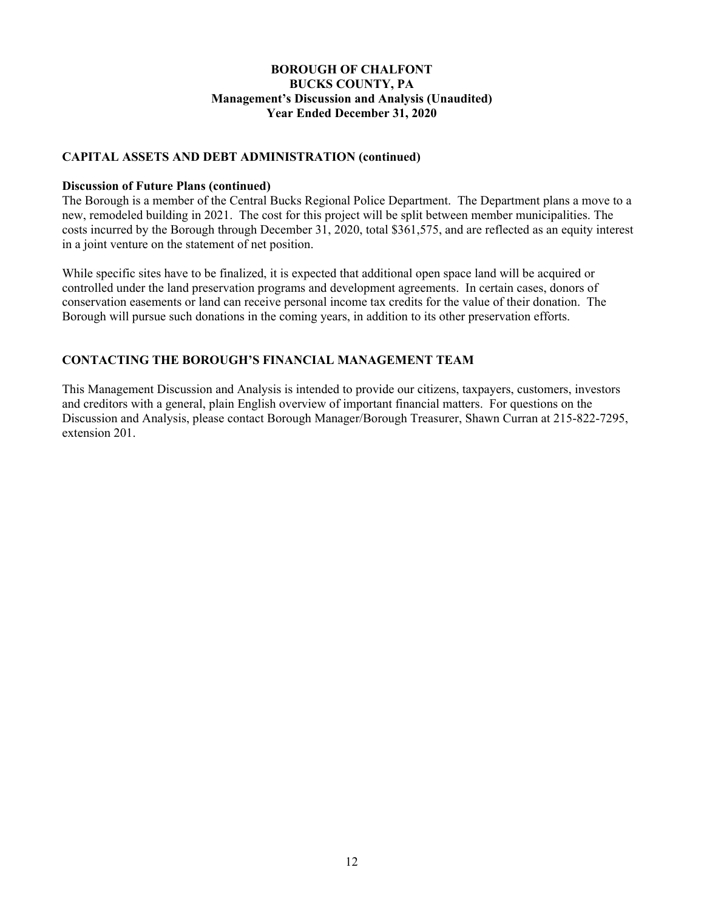# **CAPITAL ASSETS AND DEBT ADMINISTRATION (continued)**

#### **Discussion of Future Plans (continued)**

The Borough is a member of the Central Bucks Regional Police Department. The Department plans a move to a new, remodeled building in 2021. The cost for this project will be split between member municipalities. The costs incurred by the Borough through December 31, 2020, total \$361,575, and are reflected as an equity interest in a joint venture on the statement of net position.

While specific sites have to be finalized, it is expected that additional open space land will be acquired or controlled under the land preservation programs and development agreements. In certain cases, donors of conservation easements or land can receive personal income tax credits for the value of their donation. The Borough will pursue such donations in the coming years, in addition to its other preservation efforts.

# **CONTACTING THE BOROUGH'S FINANCIAL MANAGEMENT TEAM**

This Management Discussion and Analysis is intended to provide our citizens, taxpayers, customers, investors and creditors with a general, plain English overview of important financial matters. For questions on the Discussion and Analysis, please contact Borough Manager/Borough Treasurer, Shawn Curran at 215-822-7295, extension 201.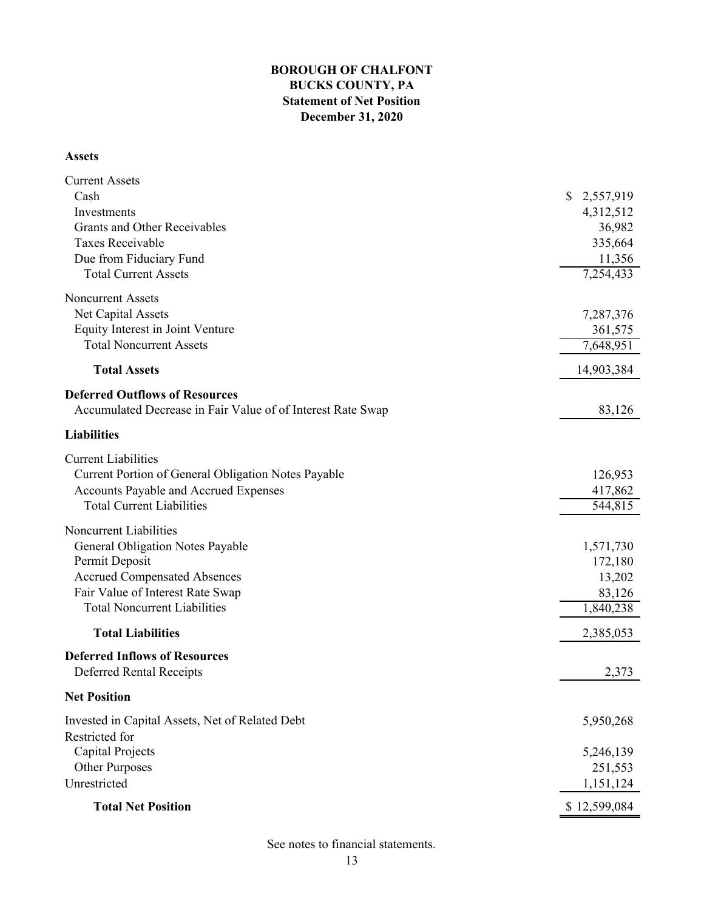# **BOROUGH OF CHALFONT BUCKS COUNTY, PA Statement of Net Position December 31, 2020**

#### **Assets**

| <b>Current Assets</b>                                       |                        |
|-------------------------------------------------------------|------------------------|
| Cash                                                        | 2,557,919<br>\$        |
| Investments                                                 | 4,312,512              |
| <b>Grants and Other Receivables</b>                         | 36,982                 |
| <b>Taxes Receivable</b>                                     | 335,664                |
| Due from Fiduciary Fund                                     | 11,356                 |
| <b>Total Current Assets</b>                                 | 7,254,433              |
| <b>Noncurrent Assets</b>                                    |                        |
| Net Capital Assets                                          | 7,287,376              |
| Equity Interest in Joint Venture                            | 361,575                |
| <b>Total Noncurrent Assets</b>                              | 7,648,951              |
| <b>Total Assets</b>                                         | 14,903,384             |
| <b>Deferred Outflows of Resources</b>                       |                        |
| Accumulated Decrease in Fair Value of of Interest Rate Swap | 83,126                 |
| <b>Liabilities</b>                                          |                        |
| <b>Current Liabilities</b>                                  |                        |
| Current Portion of General Obligation Notes Payable         | 126,953                |
| Accounts Payable and Accrued Expenses                       | 417,862                |
| <b>Total Current Liabilities</b>                            | 544,815                |
| <b>Noncurrent Liabilities</b>                               |                        |
| General Obligation Notes Payable                            | 1,571,730              |
| Permit Deposit                                              | 172,180                |
| <b>Accrued Compensated Absences</b>                         | 13,202                 |
| Fair Value of Interest Rate Swap                            | 83,126                 |
| <b>Total Noncurrent Liabilities</b>                         | $\overline{1,840,238}$ |
| <b>Total Liabilities</b>                                    | 2,385,053              |
| <b>Deferred Inflows of Resources</b>                        |                        |
| Deferred Rental Receipts                                    | 2,373                  |
| <b>Net Position</b>                                         |                        |
| Invested in Capital Assets, Net of Related Debt             | 5,950,268              |
| Restricted for                                              |                        |
| Capital Projects                                            | 5,246,139              |
| <b>Other Purposes</b>                                       | 251,553                |
| Unrestricted                                                | 1,151,124              |
| <b>Total Net Position</b>                                   | \$12,599,084           |

See notes to financial statements.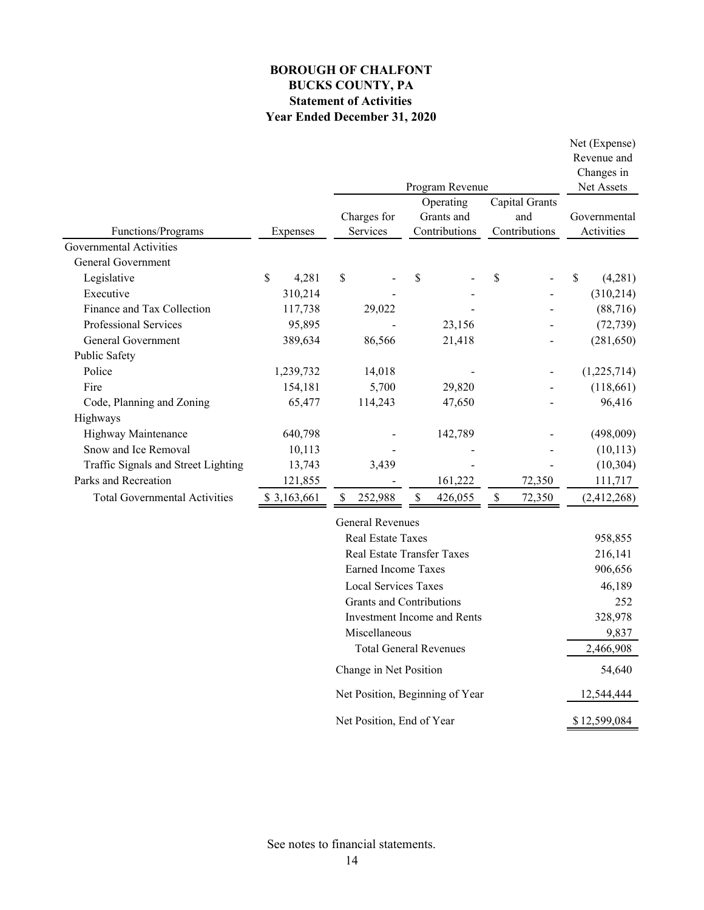# **BOROUGH OF CHALFONT BUCKS COUNTY, PA Statement of Activities Year Ended December 31, 2020**

|                                      |             |               | Program Revenue         |                       | Net (Expense)<br>Revenue and<br>Changes in<br>Net Assets |
|--------------------------------------|-------------|---------------|-------------------------|-----------------------|----------------------------------------------------------|
|                                      |             | Charges for   | Operating<br>Grants and | Capital Grants<br>and | Governmental                                             |
| Functions/Programs                   | Expenses    | Services      | Contributions           | Contributions         | Activities                                               |
| Governmental Activities              |             |               |                         |                       |                                                          |
| General Government                   |             |               |                         |                       |                                                          |
| Legislative                          | \$<br>4,281 | \$            | \$                      | \$                    | \$<br>(4,281)                                            |
| Executive                            | 310,214     |               |                         |                       | (310,214)                                                |
| Finance and Tax Collection           | 117,738     | 29,022        |                         |                       | (88, 716)                                                |
| Professional Services                | 95,895      |               | 23,156                  |                       | (72, 739)                                                |
| General Government                   | 389,634     | 86,566        | 21,418                  |                       | (281, 650)                                               |
| Public Safety                        |             |               |                         |                       |                                                          |
| Police                               | 1,239,732   | 14,018        |                         |                       | (1,225,714)                                              |
| Fire                                 | 154,181     | 5,700         | 29,820                  |                       | (118,661)                                                |
| Code, Planning and Zoning            | 65,477      | 114,243       | 47,650                  |                       | 96,416                                                   |
| Highways                             |             |               |                         |                       |                                                          |
| Highway Maintenance                  | 640,798     |               | 142,789                 |                       | (498,009)                                                |
| Snow and Ice Removal                 | 10,113      |               |                         |                       | (10, 113)                                                |
| Traffic Signals and Street Lighting  | 13,743      | 3,439         |                         |                       | (10, 304)                                                |
| Parks and Recreation                 | 121,855     |               | 161,222                 | 72,350                | 111,717                                                  |
| <b>Total Governmental Activities</b> | \$3,163,661 | \$<br>252,988 | \$<br>426,055           | \$<br>72,350          | (2,412,268)                                              |

| <b>General Revenues</b>         |              |
|---------------------------------|--------------|
| Real Estate Taxes               | 958,855      |
| Real Estate Transfer Taxes      | 216,141      |
| Earned Income Taxes             | 906,656      |
| Local Services Taxes            | 46,189       |
| Grants and Contributions        | 252          |
| Investment Income and Rents     | 328,978      |
| Miscellaneous                   | 9,837        |
| <b>Total General Revenues</b>   | 2,466,908    |
| Change in Net Position          | 54,640       |
| Net Position, Beginning of Year | 12,544,444   |
| Net Position, End of Year       | \$12,599,084 |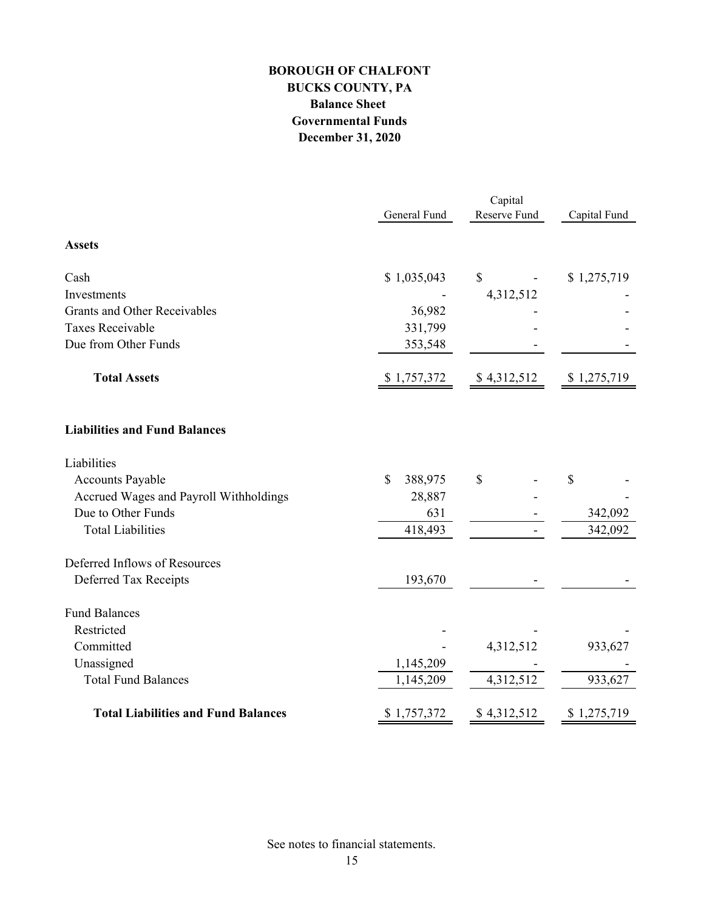# **BOROUGH OF CHALFONT BUCKS COUNTY, PA Balance Sheet Governmental Funds December 31, 2020**

|                                            |               | Capital      |              |
|--------------------------------------------|---------------|--------------|--------------|
|                                            | General Fund  | Reserve Fund | Capital Fund |
| <b>Assets</b>                              |               |              |              |
| Cash                                       | \$1,035,043   | \$           | \$1,275,719  |
| Investments                                |               | 4,312,512    |              |
| <b>Grants and Other Receivables</b>        | 36,982        |              |              |
| <b>Taxes Receivable</b>                    | 331,799       |              |              |
| Due from Other Funds                       | 353,548       |              |              |
| <b>Total Assets</b>                        | \$1,757,372   | \$4,312,512  | \$1,275,719  |
| <b>Liabilities and Fund Balances</b>       |               |              |              |
| Liabilities                                |               |              |              |
| <b>Accounts Payable</b>                    | \$<br>388,975 | \$           | \$           |
| Accrued Wages and Payroll Withholdings     | 28,887        |              |              |
| Due to Other Funds                         | 631           |              | 342,092      |
| <b>Total Liabilities</b>                   | 418,493       |              | 342,092      |
| Deferred Inflows of Resources              |               |              |              |
| Deferred Tax Receipts                      | 193,670       |              |              |
| <b>Fund Balances</b>                       |               |              |              |
| Restricted                                 |               |              |              |
| Committed                                  |               | 4,312,512    | 933,627      |
| Unassigned                                 | 1,145,209     |              |              |
| <b>Total Fund Balances</b>                 | 1,145,209     | 4,312,512    | 933,627      |
| <b>Total Liabilities and Fund Balances</b> | \$1,757,372   | \$4,312,512  | \$1,275,719  |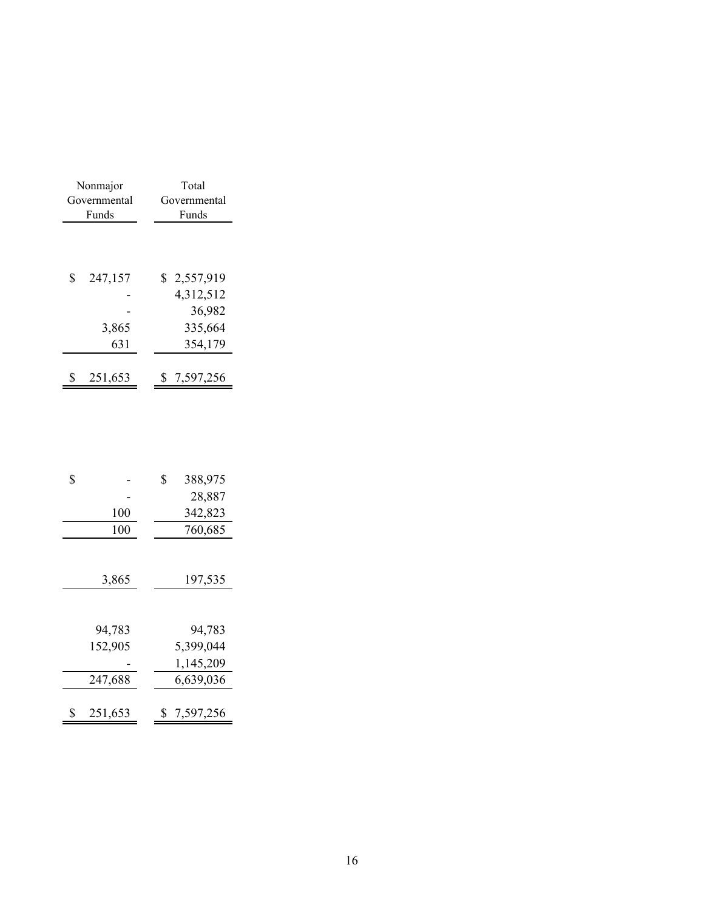| Nonmajor<br>Governmental<br>Funds |                         | Total<br>Governmental<br>Funds                           |
|-----------------------------------|-------------------------|----------------------------------------------------------|
| \$                                | 247,157<br>3,865<br>631 | \$2,557,919<br>4,312,512<br>36,982<br>335,664<br>354,179 |
| \$                                | 251,653                 | \$<br>7,597,256                                          |
| \$                                |                         | \$<br>388,975                                            |

| Φ  |         | Φ<br>388,973    |
|----|---------|-----------------|
|    |         | 28,887          |
|    | 100     | 342,823         |
|    | 100     | 760,685         |
|    |         |                 |
|    |         |                 |
|    | 3,865   | 197,535         |
|    |         |                 |
|    |         |                 |
|    | 94,783  | 94,783          |
|    | 152,905 | 5,399,044       |
|    |         | 1,145,209       |
|    | 247,688 | 6,639,036       |
|    |         |                 |
| \$ | 251,653 | 7,597,256<br>\$ |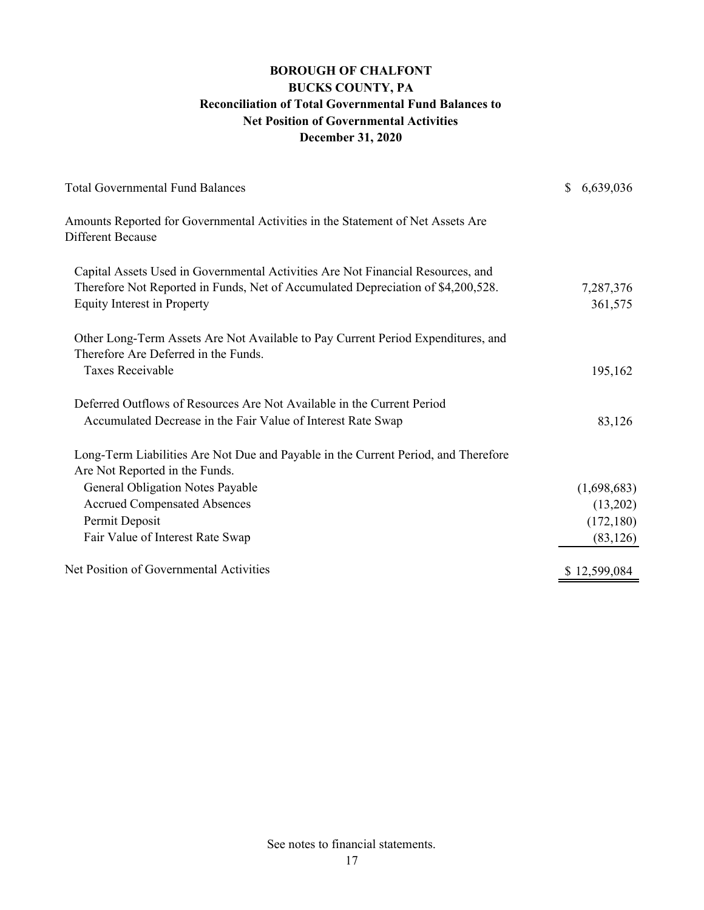# **Net Position of Governmental Activities BOROUGH OF CHALFONT BUCKS COUNTY, PA Reconciliation of Total Governmental Fund Balances to December 31, 2020**

| <b>Total Governmental Fund Balances</b>                                                                                                                                                                   | \$<br>6,639,036      |
|-----------------------------------------------------------------------------------------------------------------------------------------------------------------------------------------------------------|----------------------|
| Amounts Reported for Governmental Activities in the Statement of Net Assets Are<br>Different Because                                                                                                      |                      |
| Capital Assets Used in Governmental Activities Are Not Financial Resources, and<br>Therefore Not Reported in Funds, Net of Accumulated Depreciation of \$4,200,528.<br><b>Equity Interest in Property</b> | 7,287,376<br>361,575 |
| Other Long-Term Assets Are Not Available to Pay Current Period Expenditures, and<br>Therefore Are Deferred in the Funds.                                                                                  |                      |
| Taxes Receivable                                                                                                                                                                                          | 195,162              |
| Deferred Outflows of Resources Are Not Available in the Current Period<br>Accumulated Decrease in the Fair Value of Interest Rate Swap                                                                    | 83,126               |
| Long-Term Liabilities Are Not Due and Payable in the Current Period, and Therefore<br>Are Not Reported in the Funds.                                                                                      |                      |
| General Obligation Notes Payable                                                                                                                                                                          | (1,698,683)          |
| <b>Accrued Compensated Absences</b>                                                                                                                                                                       | (13,202)             |
| Permit Deposit                                                                                                                                                                                            | (172, 180)           |
| Fair Value of Interest Rate Swap                                                                                                                                                                          | (83, 126)            |
| Net Position of Governmental Activities                                                                                                                                                                   | \$12,599,084         |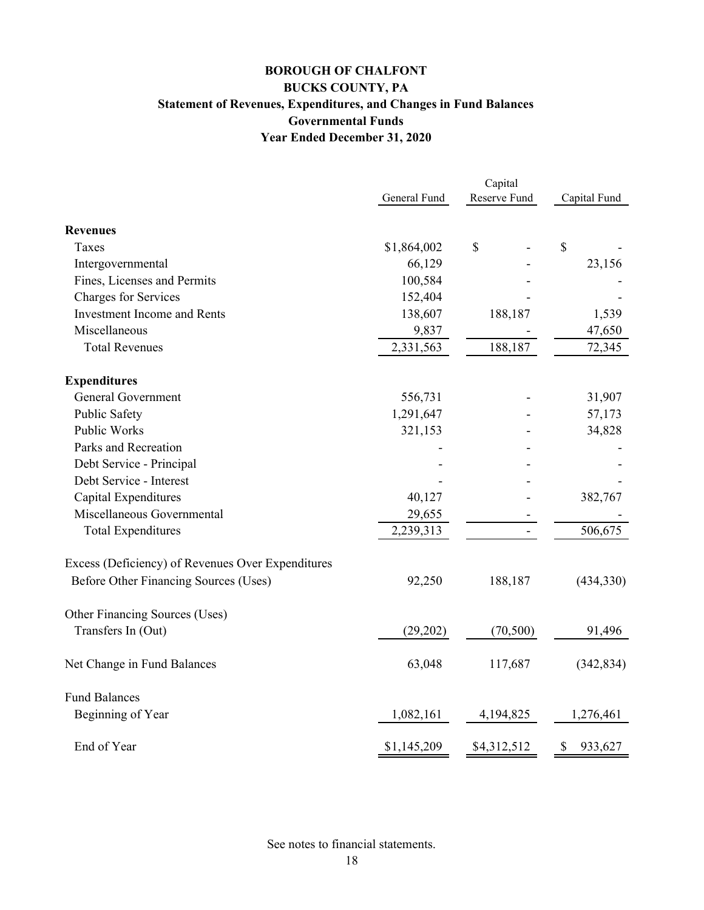# **BOROUGH OF CHALFONT BUCKS COUNTY, PA Statement of Revenues, Expenditures, and Changes in Fund Balances Governmental Funds Year Ended December 31, 2020**

|                                                   | Capital      |              |               |  |
|---------------------------------------------------|--------------|--------------|---------------|--|
|                                                   | General Fund | Reserve Fund | Capital Fund  |  |
| <b>Revenues</b>                                   |              |              |               |  |
| Taxes                                             | \$1,864,002  | \$           | $\mathsf{\$}$ |  |
| Intergovernmental                                 | 66,129       |              | 23,156        |  |
| Fines, Licenses and Permits                       | 100,584      |              |               |  |
| <b>Charges for Services</b>                       | 152,404      |              |               |  |
| <b>Investment Income and Rents</b>                | 138,607      | 188,187      | 1,539         |  |
| Miscellaneous                                     | 9,837        |              | 47,650        |  |
| <b>Total Revenues</b>                             | 2,331,563    | 188,187      | 72,345        |  |
| <b>Expenditures</b>                               |              |              |               |  |
| <b>General Government</b>                         | 556,731      |              | 31,907        |  |
| Public Safety                                     | 1,291,647    |              | 57,173        |  |
| Public Works                                      | 321,153      |              | 34,828        |  |
| Parks and Recreation                              |              |              |               |  |
| Debt Service - Principal                          |              |              |               |  |
| Debt Service - Interest                           |              |              |               |  |
| Capital Expenditures                              | 40,127       |              | 382,767       |  |
| Miscellaneous Governmental                        | 29,655       |              |               |  |
| <b>Total Expenditures</b>                         | 2,239,313    |              | 506,675       |  |
| Excess (Deficiency) of Revenues Over Expenditures |              |              |               |  |
| Before Other Financing Sources (Uses)             | 92,250       | 188,187      | (434, 330)    |  |
| Other Financing Sources (Uses)                    |              |              |               |  |
| Transfers In (Out)                                | (29,202)     | (70, 500)    | 91,496        |  |
| Net Change in Fund Balances                       | 63,048       | 117,687      | (342, 834)    |  |
| <b>Fund Balances</b>                              |              |              |               |  |
| Beginning of Year                                 | 1,082,161    | 4,194,825    | 1,276,461     |  |
| End of Year                                       | \$1,145,209  | \$4,312,512  | \$<br>933,627 |  |

See notes to financial statements.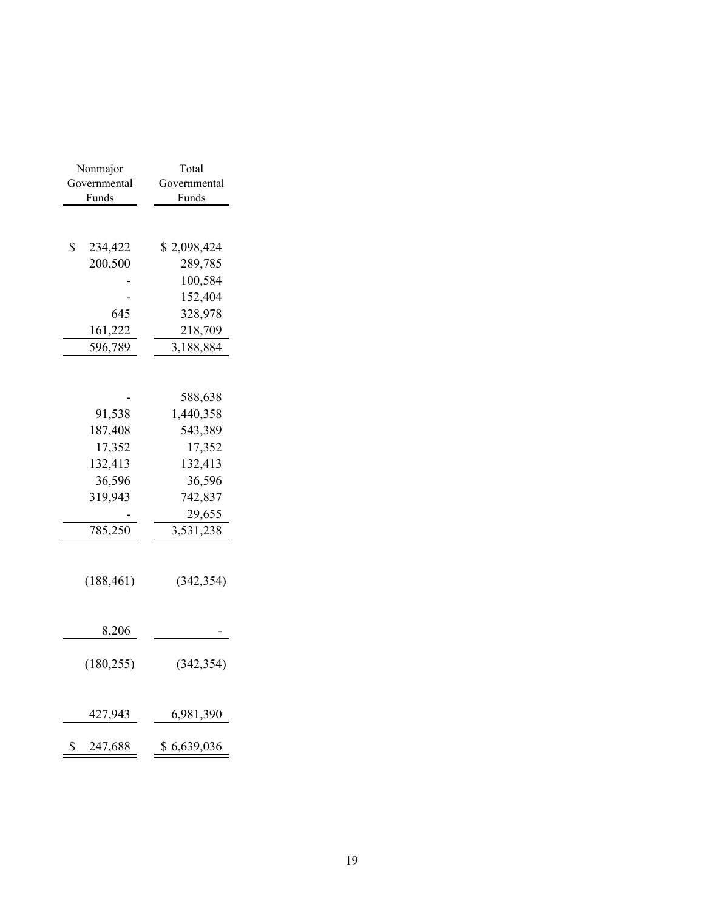| Nonmajor      | Total        |
|---------------|--------------|
| Governmental  | Governmental |
| Funds         | Funds        |
|               |              |
|               |              |
| \$<br>234,422 | \$2,098,424  |
| 200,500       | 289,785      |
|               | 100,584      |
|               | 152,404      |
| 645           | 328,978      |
| 161,222       | 218,709      |
| 596,789       | 3,188,884    |
|               |              |
|               |              |
|               | 588,638      |
| 91,538        | 1,440,358    |
| 187,408       | 543,389      |
| 17,352        | 17,352       |
| 132,413       | 132,413      |
| 36,596        | 36,596       |
| 319,943       | 742,837      |
|               | 29,655       |
| 785,250       | 3,531,238    |
|               |              |
|               |              |
| (188, 461)    | (342, 354)   |
|               |              |
|               |              |
| 8,206         |              |
|               |              |
| (180, 255)    | (342, 354)   |
|               |              |
|               |              |
| 427,943       | 6,981,390    |
|               |              |
| \$<br>247,688 | \$6,639,036  |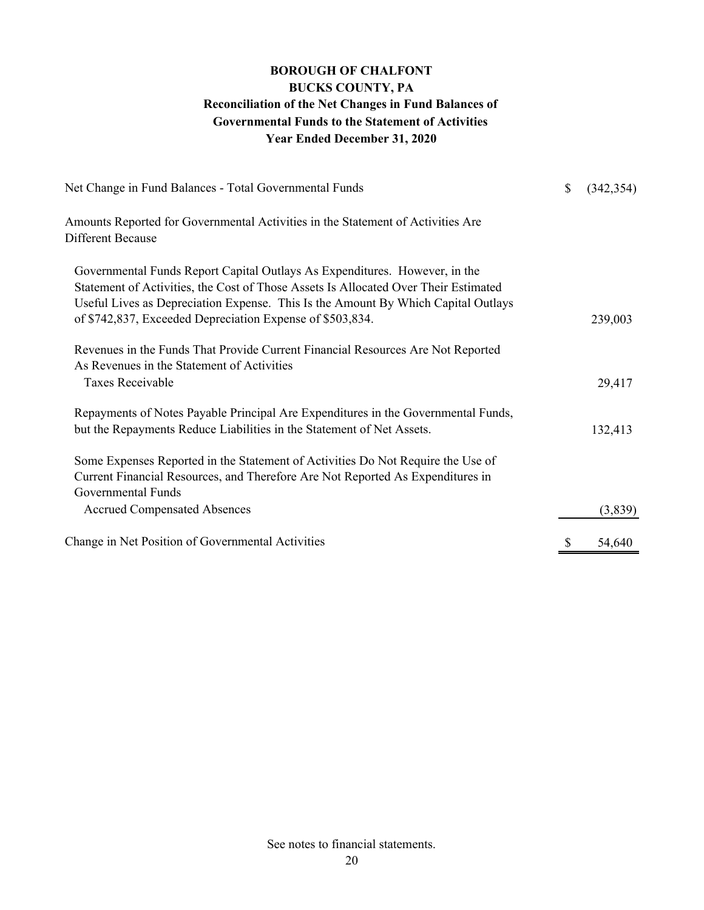# **BUCKS COUNTY, PA Reconciliation of the Net Changes in Fund Balances of Governmental Funds to the Statement of Activities BOROUGH OF CHALFONT Year Ended December 31, 2020**

| Net Change in Fund Balances - Total Governmental Funds                                                                                                                                                                                                 | \$<br>(342, 354) |
|--------------------------------------------------------------------------------------------------------------------------------------------------------------------------------------------------------------------------------------------------------|------------------|
| Amounts Reported for Governmental Activities in the Statement of Activities Are<br><b>Different Because</b>                                                                                                                                            |                  |
| Governmental Funds Report Capital Outlays As Expenditures. However, in the<br>Statement of Activities, the Cost of Those Assets Is Allocated Over Their Estimated<br>Useful Lives as Depreciation Expense. This Is the Amount By Which Capital Outlays |                  |
| of \$742,837, Exceeded Depreciation Expense of \$503,834.                                                                                                                                                                                              | 239,003          |
| Revenues in the Funds That Provide Current Financial Resources Are Not Reported<br>As Revenues in the Statement of Activities                                                                                                                          |                  |
| Taxes Receivable                                                                                                                                                                                                                                       | 29,417           |
| Repayments of Notes Payable Principal Are Expenditures in the Governmental Funds,<br>but the Repayments Reduce Liabilities in the Statement of Net Assets.                                                                                             | 132,413          |
| Some Expenses Reported in the Statement of Activities Do Not Require the Use of<br>Current Financial Resources, and Therefore Are Not Reported As Expenditures in                                                                                      |                  |
| <b>Governmental Funds</b><br><b>Accrued Compensated Absences</b>                                                                                                                                                                                       | (3,839)          |
|                                                                                                                                                                                                                                                        |                  |
| Change in Net Position of Governmental Activities                                                                                                                                                                                                      | \$<br>54,640     |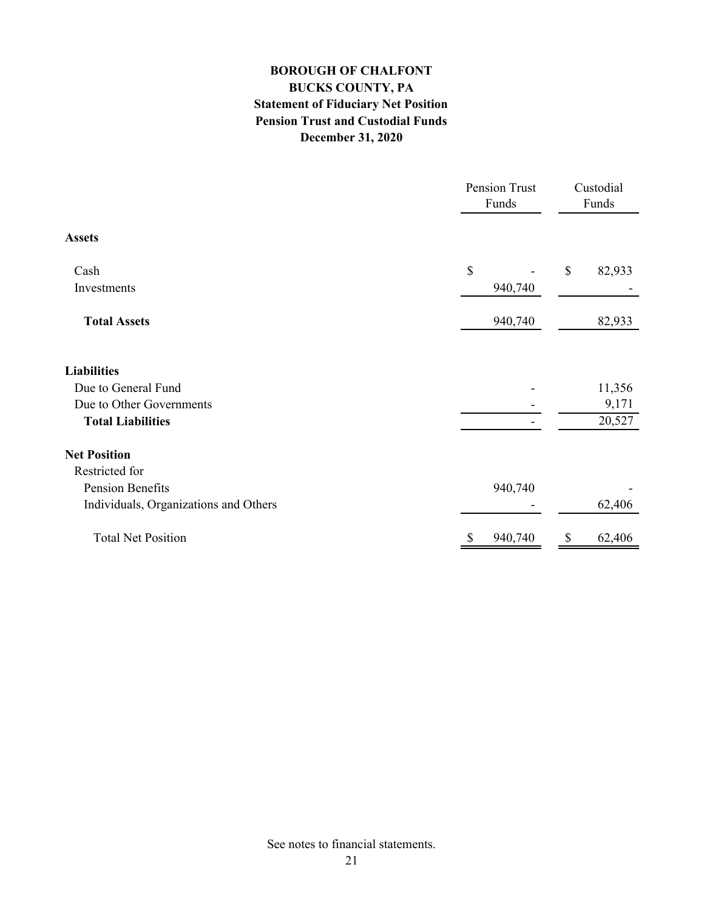# **BOROUGH OF CHALFONT BUCKS COUNTY, PA Statement of Fiduciary Net Position Pension Trust and Custodial Funds December 31, 2020**

|                                       | Pension Trust<br>Funds | Custodial<br>Funds |
|---------------------------------------|------------------------|--------------------|
| <b>Assets</b>                         |                        |                    |
| Cash                                  | \$                     | \$<br>82,933       |
| Investments                           | 940,740                |                    |
| <b>Total Assets</b>                   | 940,740                | 82,933             |
| <b>Liabilities</b>                    |                        |                    |
| Due to General Fund                   |                        | 11,356             |
| Due to Other Governments              |                        | 9,171              |
| <b>Total Liabilities</b>              |                        | 20,527             |
| <b>Net Position</b>                   |                        |                    |
| Restricted for                        |                        |                    |
| Pension Benefits                      | 940,740                |                    |
| Individuals, Organizations and Others |                        | 62,406             |
| <b>Total Net Position</b>             | 940,740                | \$<br>62,406       |

See notes to financial statements.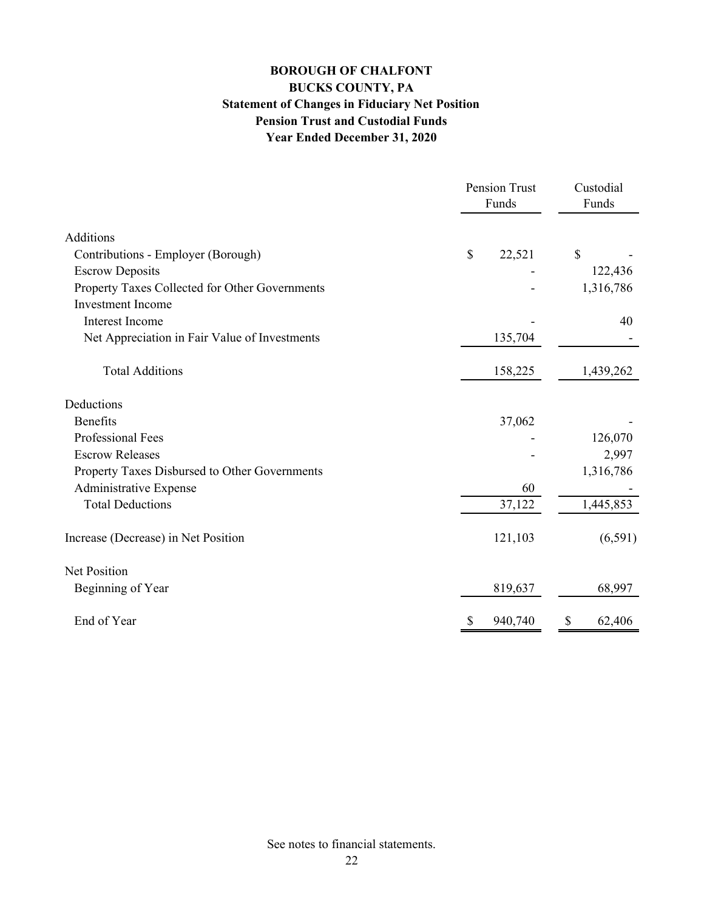# **BOROUGH OF CHALFONT BUCKS COUNTY, PA Statement of Changes in Fiduciary Net Position Pension Trust and Custodial Funds Year Ended December 31, 2020**

|                                                | Pension Trust<br>Funds | Custodial<br>Funds |
|------------------------------------------------|------------------------|--------------------|
| Additions                                      |                        |                    |
| Contributions - Employer (Borough)             | \$<br>22,521           | \$                 |
| <b>Escrow Deposits</b>                         |                        | 122,436            |
| Property Taxes Collected for Other Governments |                        | 1,316,786          |
| <b>Investment Income</b>                       |                        |                    |
| Interest Income                                |                        | 40                 |
| Net Appreciation in Fair Value of Investments  | 135,704                |                    |
| <b>Total Additions</b>                         | 158,225                | 1,439,262          |
| Deductions                                     |                        |                    |
| <b>Benefits</b>                                | 37,062                 |                    |
| Professional Fees                              |                        | 126,070            |
| <b>Escrow Releases</b>                         |                        | 2,997              |
| Property Taxes Disbursed to Other Governments  |                        | 1,316,786          |
| Administrative Expense                         |                        | 60                 |
| <b>Total Deductions</b>                        | 37,122                 | 1,445,853          |
| Increase (Decrease) in Net Position            | 121,103                | (6,591)            |
| Net Position                                   |                        |                    |
| Beginning of Year                              | 819,637                | 68,997             |
| End of Year                                    | \$<br>940,740          | \$<br>62,406       |

See notes to financial statements.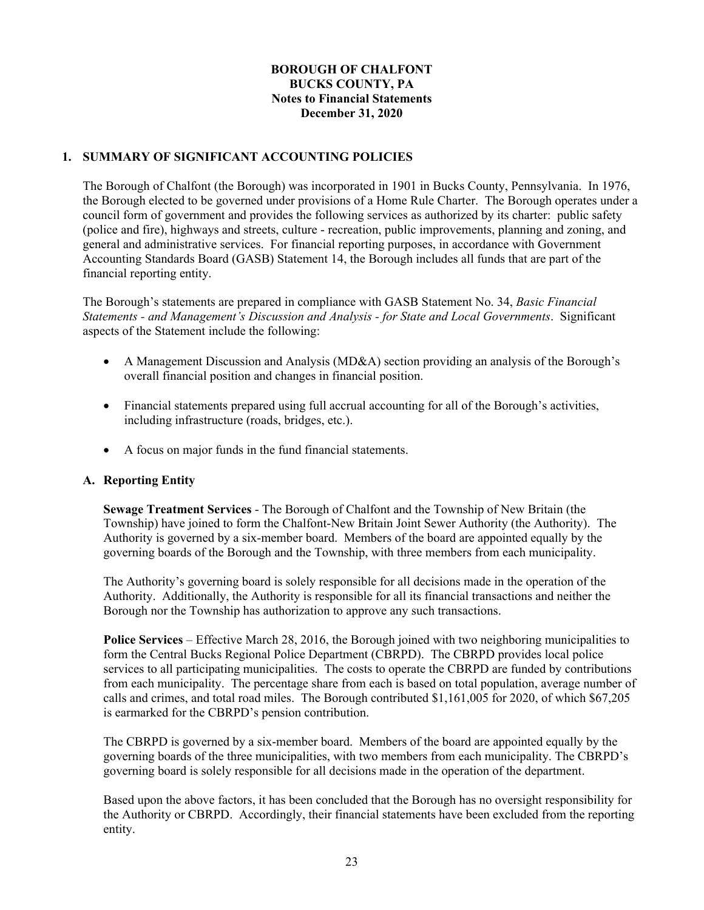# **1. SUMMARY OF SIGNIFICANT ACCOUNTING POLICIES**

 The Borough of Chalfont (the Borough) was incorporated in 1901 in Bucks County, Pennsylvania. In 1976, the Borough elected to be governed under provisions of a Home Rule Charter. The Borough operates under a council form of government and provides the following services as authorized by its charter: public safety (police and fire), highways and streets, culture - recreation, public improvements, planning and zoning, and general and administrative services. For financial reporting purposes, in accordance with Government Accounting Standards Board (GASB) Statement 14, the Borough includes all funds that are part of the financial reporting entity.

The Borough's statements are prepared in compliance with GASB Statement No. 34, *Basic Financial Statements - and Management's Discussion and Analysis - for State and Local Governments*. Significant aspects of the Statement include the following:

- A Management Discussion and Analysis (MD&A) section providing an analysis of the Borough's overall financial position and changes in financial position.
- Financial statements prepared using full accrual accounting for all of the Borough's activities, including infrastructure (roads, bridges, etc.).
- A focus on major funds in the fund financial statements.

#### **A. Reporting Entity**

**Sewage Treatment Services** - The Borough of Chalfont and the Township of New Britain (the Township) have joined to form the Chalfont-New Britain Joint Sewer Authority (the Authority). The Authority is governed by a six-member board. Members of the board are appointed equally by the governing boards of the Borough and the Township, with three members from each municipality.

The Authority's governing board is solely responsible for all decisions made in the operation of the Authority. Additionally, the Authority is responsible for all its financial transactions and neither the Borough nor the Township has authorization to approve any such transactions.

**Police Services** – Effective March 28, 2016, the Borough joined with two neighboring municipalities to form the Central Bucks Regional Police Department (CBRPD). The CBRPD provides local police services to all participating municipalities. The costs to operate the CBRPD are funded by contributions from each municipality. The percentage share from each is based on total population, average number of calls and crimes, and total road miles. The Borough contributed \$1,161,005 for 2020, of which \$67,205 is earmarked for the CBRPD's pension contribution.

The CBRPD is governed by a six-member board. Members of the board are appointed equally by the governing boards of the three municipalities, with two members from each municipality. The CBRPD's governing board is solely responsible for all decisions made in the operation of the department.

Based upon the above factors, it has been concluded that the Borough has no oversight responsibility for the Authority or CBRPD. Accordingly, their financial statements have been excluded from the reporting entity.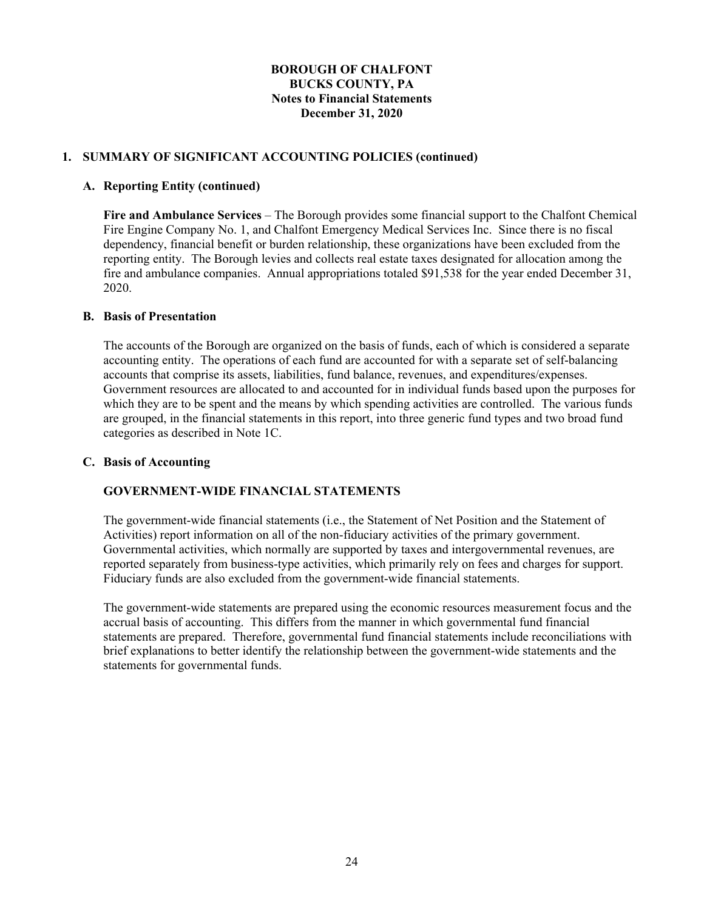# **1. SUMMARY OF SIGNIFICANT ACCOUNTING POLICIES (continued)**

# **A. Reporting Entity (continued)**

**Fire and Ambulance Services** – The Borough provides some financial support to the Chalfont Chemical Fire Engine Company No. 1, and Chalfont Emergency Medical Services Inc. Since there is no fiscal dependency, financial benefit or burden relationship, these organizations have been excluded from the reporting entity. The Borough levies and collects real estate taxes designated for allocation among the fire and ambulance companies. Annual appropriations totaled \$91,538 for the year ended December 31, 2020.

#### **B. Basis of Presentation**

The accounts of the Borough are organized on the basis of funds, each of which is considered a separate accounting entity. The operations of each fund are accounted for with a separate set of self-balancing accounts that comprise its assets, liabilities, fund balance, revenues, and expenditures/expenses. Government resources are allocated to and accounted for in individual funds based upon the purposes for which they are to be spent and the means by which spending activities are controlled. The various funds are grouped, in the financial statements in this report, into three generic fund types and two broad fund categories as described in Note 1C.

#### **C. Basis of Accounting**

#### **GOVERNMENT-WIDE FINANCIAL STATEMENTS**

The government-wide financial statements (i.e., the Statement of Net Position and the Statement of Activities) report information on all of the non-fiduciary activities of the primary government. Governmental activities, which normally are supported by taxes and intergovernmental revenues, are reported separately from business-type activities, which primarily rely on fees and charges for support. Fiduciary funds are also excluded from the government-wide financial statements.

The government-wide statements are prepared using the economic resources measurement focus and the accrual basis of accounting. This differs from the manner in which governmental fund financial statements are prepared. Therefore, governmental fund financial statements include reconciliations with brief explanations to better identify the relationship between the government-wide statements and the statements for governmental funds.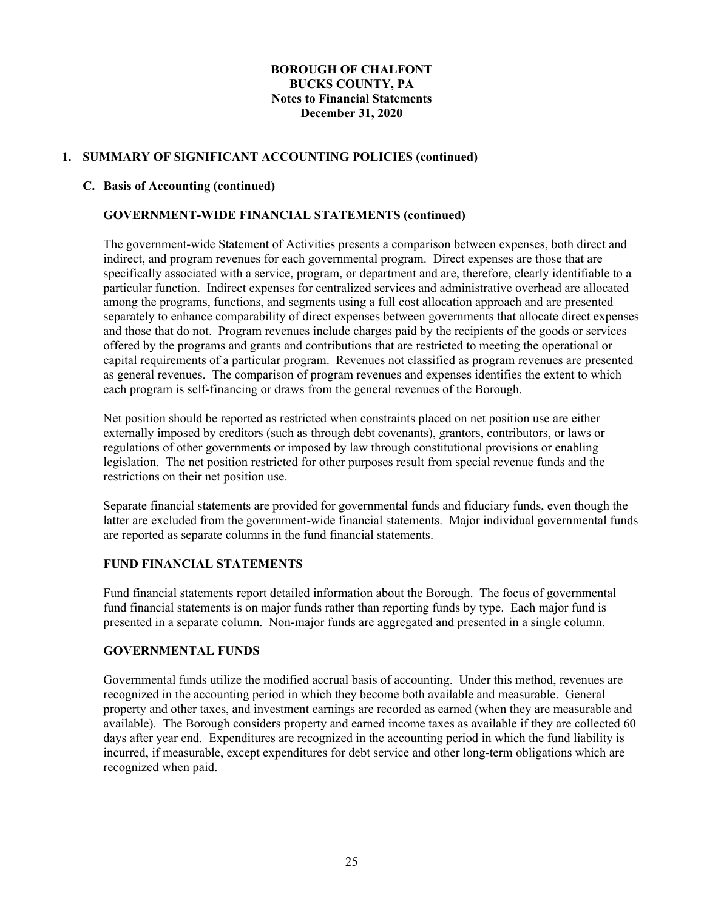# **1. SUMMARY OF SIGNIFICANT ACCOUNTING POLICIES (continued)**

#### **C. Basis of Accounting (continued)**

#### **GOVERNMENT-WIDE FINANCIAL STATEMENTS (continued)**

The government-wide Statement of Activities presents a comparison between expenses, both direct and indirect, and program revenues for each governmental program. Direct expenses are those that are specifically associated with a service, program, or department and are, therefore, clearly identifiable to a particular function. Indirect expenses for centralized services and administrative overhead are allocated among the programs, functions, and segments using a full cost allocation approach and are presented separately to enhance comparability of direct expenses between governments that allocate direct expenses and those that do not. Program revenues include charges paid by the recipients of the goods or services offered by the programs and grants and contributions that are restricted to meeting the operational or capital requirements of a particular program. Revenues not classified as program revenues are presented as general revenues. The comparison of program revenues and expenses identifies the extent to which each program is self-financing or draws from the general revenues of the Borough.

Net position should be reported as restricted when constraints placed on net position use are either externally imposed by creditors (such as through debt covenants), grantors, contributors, or laws or regulations of other governments or imposed by law through constitutional provisions or enabling legislation. The net position restricted for other purposes result from special revenue funds and the restrictions on their net position use.

Separate financial statements are provided for governmental funds and fiduciary funds, even though the latter are excluded from the government-wide financial statements. Major individual governmental funds are reported as separate columns in the fund financial statements.

#### **FUND FINANCIAL STATEMENTS**

Fund financial statements report detailed information about the Borough. The focus of governmental fund financial statements is on major funds rather than reporting funds by type. Each major fund is presented in a separate column. Non-major funds are aggregated and presented in a single column.

#### **GOVERNMENTAL FUNDS**

Governmental funds utilize the modified accrual basis of accounting. Under this method, revenues are recognized in the accounting period in which they become both available and measurable. General property and other taxes, and investment earnings are recorded as earned (when they are measurable and available). The Borough considers property and earned income taxes as available if they are collected 60 days after year end. Expenditures are recognized in the accounting period in which the fund liability is incurred, if measurable, except expenditures for debt service and other long-term obligations which are recognized when paid.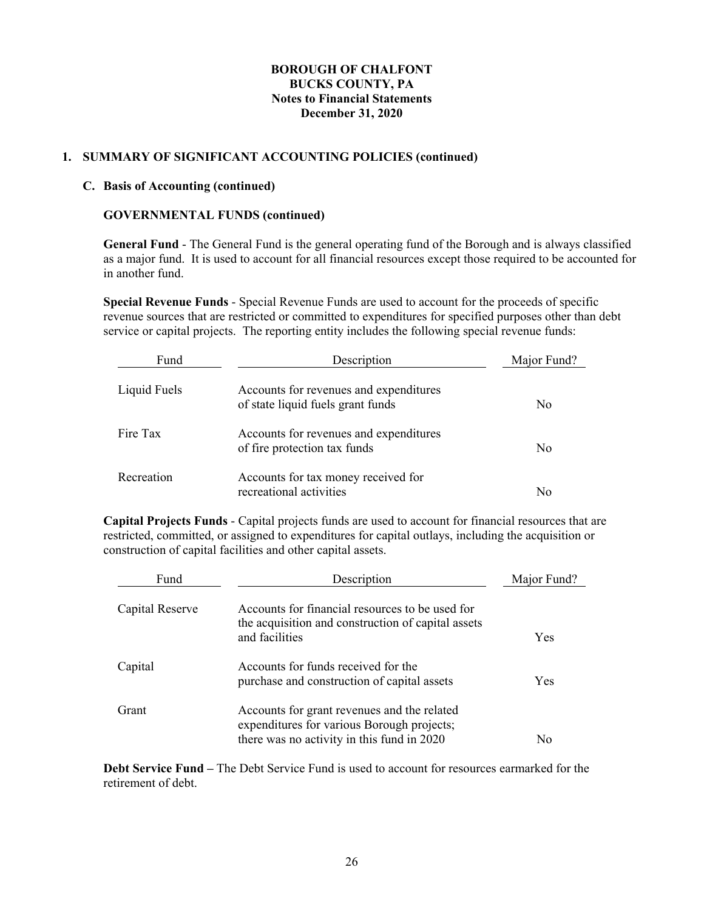#### **1. SUMMARY OF SIGNIFICANT ACCOUNTING POLICIES (continued)**

#### **C. Basis of Accounting (continued)**

#### **GOVERNMENTAL FUNDS (continued)**

**General Fund** - The General Fund is the general operating fund of the Borough and is always classified as a major fund. It is used to account for all financial resources except those required to be accounted for in another fund.

**Special Revenue Funds** - Special Revenue Funds are used to account for the proceeds of specific revenue sources that are restricted or committed to expenditures for specified purposes other than debt service or capital projects. The reporting entity includes the following special revenue funds:

| Fund         | Description                                                                 | Major Fund?    |
|--------------|-----------------------------------------------------------------------------|----------------|
| Liquid Fuels | Accounts for revenues and expenditures<br>of state liquid fuels grant funds | N <sub>0</sub> |
| Fire Tax     | Accounts for revenues and expenditures<br>of fire protection tax funds      | N <sub>0</sub> |
| Recreation   | Accounts for tax money received for<br>recreational activities              | Nο             |

**Capital Projects Funds** - Capital projects funds are used to account for financial resources that are restricted, committed, or assigned to expenditures for capital outlays, including the acquisition or construction of capital facilities and other capital assets.

| Fund            | Description                                                                                                                             | Major Fund? |
|-----------------|-----------------------------------------------------------------------------------------------------------------------------------------|-------------|
| Capital Reserve | Accounts for financial resources to be used for<br>the acquisition and construction of capital assets<br>and facilities                 | Yes         |
| Capital         | Accounts for funds received for the<br>purchase and construction of capital assets                                                      | Yes         |
| Grant           | Accounts for grant revenues and the related<br>expenditures for various Borough projects;<br>there was no activity in this fund in 2020 | No          |

**Debt Service Fund –** The Debt Service Fund is used to account for resources earmarked for the retirement of debt.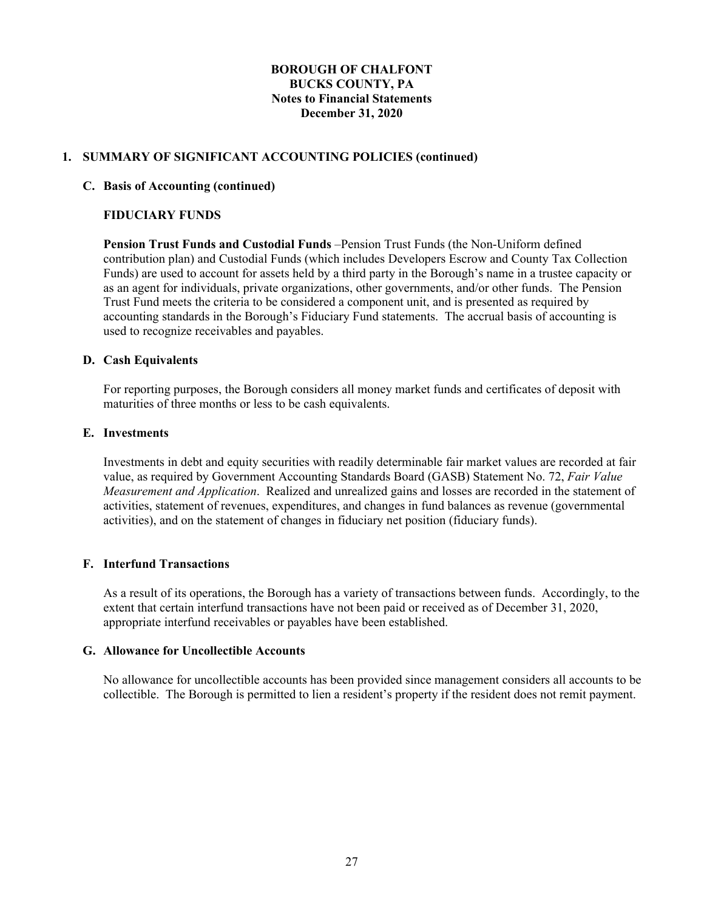# **1. SUMMARY OF SIGNIFICANT ACCOUNTING POLICIES (continued)**

#### **C. Basis of Accounting (continued)**

#### **FIDUCIARY FUNDS**

**Pension Trust Funds and Custodial Funds** –Pension Trust Funds (the Non-Uniform defined contribution plan) and Custodial Funds (which includes Developers Escrow and County Tax Collection Funds) are used to account for assets held by a third party in the Borough's name in a trustee capacity or as an agent for individuals, private organizations, other governments, and/or other funds. The Pension Trust Fund meets the criteria to be considered a component unit, and is presented as required by accounting standards in the Borough's Fiduciary Fund statements. The accrual basis of accounting is used to recognize receivables and payables.

#### **D. Cash Equivalents**

For reporting purposes, the Borough considers all money market funds and certificates of deposit with maturities of three months or less to be cash equivalents.

#### **E. Investments**

Investments in debt and equity securities with readily determinable fair market values are recorded at fair value, as required by Government Accounting Standards Board (GASB) Statement No. 72, *Fair Value Measurement and Application*. Realized and unrealized gains and losses are recorded in the statement of activities, statement of revenues, expenditures, and changes in fund balances as revenue (governmental activities), and on the statement of changes in fiduciary net position (fiduciary funds).

## **F. Interfund Transactions**

As a result of its operations, the Borough has a variety of transactions between funds. Accordingly, to the extent that certain interfund transactions have not been paid or received as of December 31, 2020, appropriate interfund receivables or payables have been established.

#### **G. Allowance for Uncollectible Accounts**

No allowance for uncollectible accounts has been provided since management considers all accounts to be collectible. The Borough is permitted to lien a resident's property if the resident does not remit payment.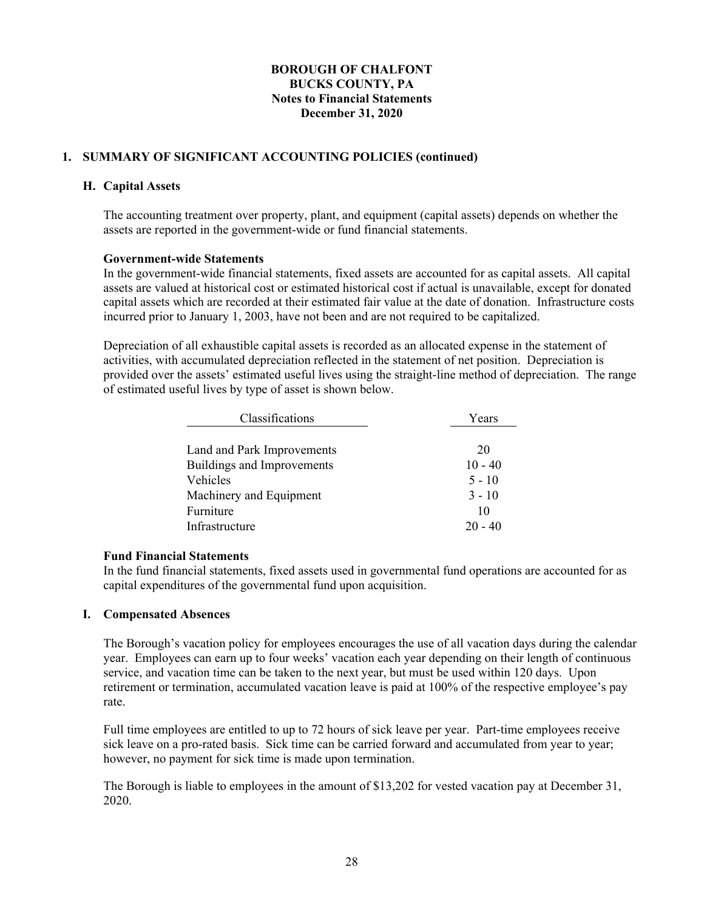# **1. SUMMARY OF SIGNIFICANT ACCOUNTING POLICIES (continued)**

# **H. Capital Assets**

The accounting treatment over property, plant, and equipment (capital assets) depends on whether the assets are reported in the government-wide or fund financial statements.

#### **Government-wide Statements**

In the government-wide financial statements, fixed assets are accounted for as capital assets. All capital assets are valued at historical cost or estimated historical cost if actual is unavailable, except for donated capital assets which are recorded at their estimated fair value at the date of donation. Infrastructure costs incurred prior to January 1, 2003, have not been and are not required to be capitalized.

Depreciation of all exhaustible capital assets is recorded as an allocated expense in the statement of activities, with accumulated depreciation reflected in the statement of net position. Depreciation is provided over the assets' estimated useful lives using the straight-line method of depreciation. The range of estimated useful lives by type of asset is shown below.

| Classifications            | Years     |
|----------------------------|-----------|
|                            |           |
| Land and Park Improvements | 20        |
| Buildings and Improvements | $10 - 40$ |
| <b>Vehicles</b>            | $5 - 10$  |
| Machinery and Equipment    | $3 - 10$  |
| Furniture                  | 10        |
| Infrastructure             | $20 - 40$ |

#### **Fund Financial Statements**

In the fund financial statements, fixed assets used in governmental fund operations are accounted for as capital expenditures of the governmental fund upon acquisition.

#### **I. Compensated Absences**

The Borough's vacation policy for employees encourages the use of all vacation days during the calendar year. Employees can earn up to four weeks' vacation each year depending on their length of continuous service, and vacation time can be taken to the next year, but must be used within 120 days. Upon retirement or termination, accumulated vacation leave is paid at 100% of the respective employee's pay rate.

Full time employees are entitled to up to 72 hours of sick leave per year. Part-time employees receive sick leave on a pro-rated basis. Sick time can be carried forward and accumulated from year to year; however, no payment for sick time is made upon termination.

The Borough is liable to employees in the amount of \$13,202 for vested vacation pay at December 31, 2020.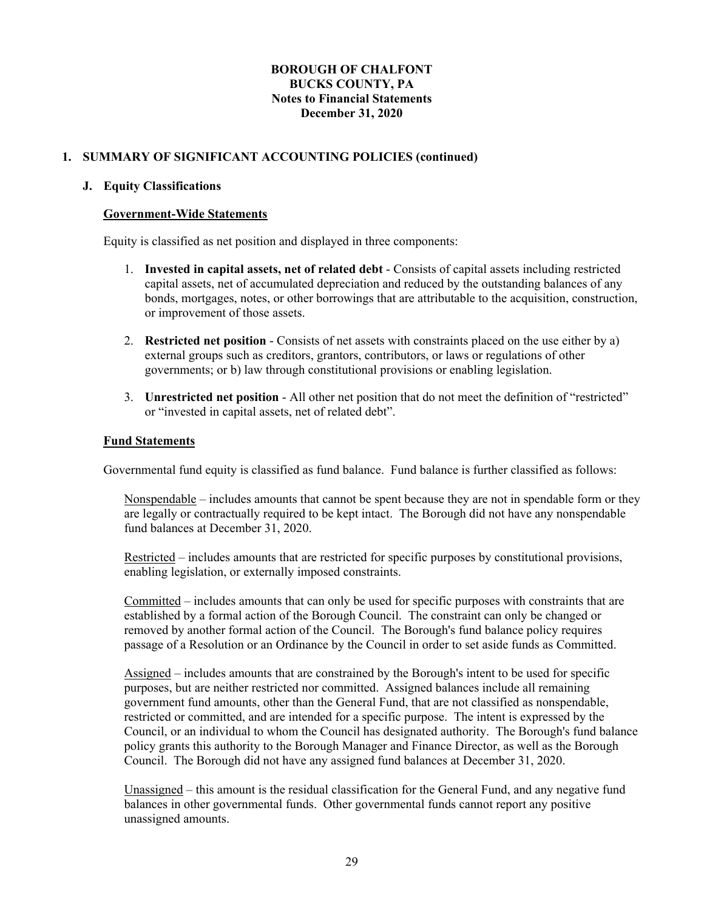# **1. SUMMARY OF SIGNIFICANT ACCOUNTING POLICIES (continued)**

#### **J. Equity Classifications**

#### **Government-Wide Statements**

Equity is classified as net position and displayed in three components:

- 1. **Invested in capital assets, net of related debt** Consists of capital assets including restricted capital assets, net of accumulated depreciation and reduced by the outstanding balances of any bonds, mortgages, notes, or other borrowings that are attributable to the acquisition, construction, or improvement of those assets.
- 2. **Restricted net position** Consists of net assets with constraints placed on the use either by a) external groups such as creditors, grantors, contributors, or laws or regulations of other governments; or b) law through constitutional provisions or enabling legislation.
- 3. **Unrestricted net position** All other net position that do not meet the definition of "restricted" or "invested in capital assets, net of related debt".

#### **Fund Statements**

Governmental fund equity is classified as fund balance. Fund balance is further classified as follows:

Nonspendable – includes amounts that cannot be spent because they are not in spendable form or they are legally or contractually required to be kept intact. The Borough did not have any nonspendable fund balances at December 31, 2020.

Restricted – includes amounts that are restricted for specific purposes by constitutional provisions, enabling legislation, or externally imposed constraints.

Committed – includes amounts that can only be used for specific purposes with constraints that are established by a formal action of the Borough Council. The constraint can only be changed or removed by another formal action of the Council. The Borough's fund balance policy requires passage of a Resolution or an Ordinance by the Council in order to set aside funds as Committed.

Assigned – includes amounts that are constrained by the Borough's intent to be used for specific purposes, but are neither restricted nor committed. Assigned balances include all remaining government fund amounts, other than the General Fund, that are not classified as nonspendable, restricted or committed, and are intended for a specific purpose. The intent is expressed by the Council, or an individual to whom the Council has designated authority. The Borough's fund balance policy grants this authority to the Borough Manager and Finance Director, as well as the Borough Council. The Borough did not have any assigned fund balances at December 31, 2020.

Unassigned – this amount is the residual classification for the General Fund, and any negative fund balances in other governmental funds. Other governmental funds cannot report any positive unassigned amounts.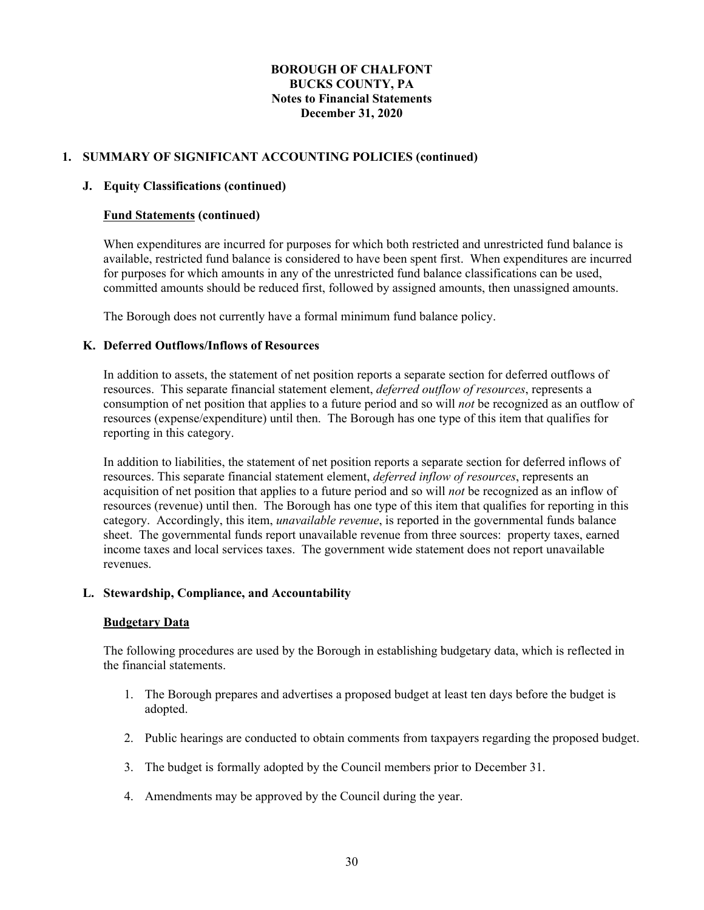# **1. SUMMARY OF SIGNIFICANT ACCOUNTING POLICIES (continued)**

# **J. Equity Classifications (continued)**

#### **Fund Statements (continued)**

When expenditures are incurred for purposes for which both restricted and unrestricted fund balance is available, restricted fund balance is considered to have been spent first. When expenditures are incurred for purposes for which amounts in any of the unrestricted fund balance classifications can be used, committed amounts should be reduced first, followed by assigned amounts, then unassigned amounts.

The Borough does not currently have a formal minimum fund balance policy.

#### **K. Deferred Outflows/Inflows of Resources**

In addition to assets, the statement of net position reports a separate section for deferred outflows of resources. This separate financial statement element, *deferred outflow of resources*, represents a consumption of net position that applies to a future period and so will *not* be recognized as an outflow of resources (expense/expenditure) until then. The Borough has one type of this item that qualifies for reporting in this category.

In addition to liabilities, the statement of net position reports a separate section for deferred inflows of resources. This separate financial statement element, *deferred inflow of resources*, represents an acquisition of net position that applies to a future period and so will *not* be recognized as an inflow of resources (revenue) until then. The Borough has one type of this item that qualifies for reporting in this category. Accordingly, this item, *unavailable revenue*, is reported in the governmental funds balance sheet. The governmental funds report unavailable revenue from three sources: property taxes, earned income taxes and local services taxes. The government wide statement does not report unavailable revenues.

#### **L. Stewardship, Compliance, and Accountability**

#### **Budgetary Data**

The following procedures are used by the Borough in establishing budgetary data, which is reflected in the financial statements.

- 1. The Borough prepares and advertises a proposed budget at least ten days before the budget is adopted.
- 2. Public hearings are conducted to obtain comments from taxpayers regarding the proposed budget.
- 3. The budget is formally adopted by the Council members prior to December 31.
- 4. Amendments may be approved by the Council during the year.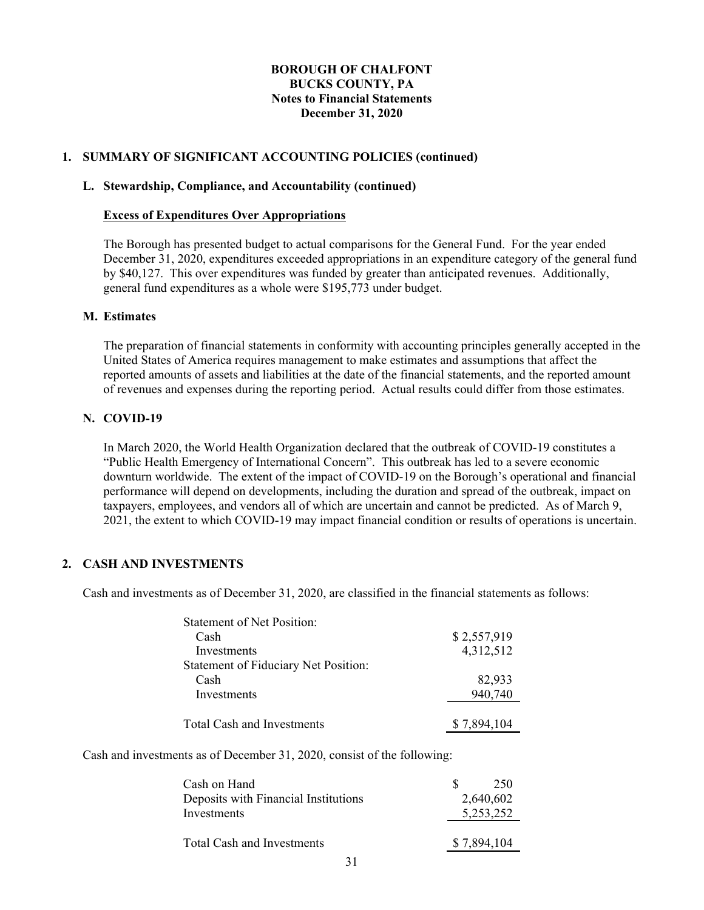#### **1. SUMMARY OF SIGNIFICANT ACCOUNTING POLICIES (continued)**

#### **L. Stewardship, Compliance, and Accountability (continued)**

#### **Excess of Expenditures Over Appropriations**

The Borough has presented budget to actual comparisons for the General Fund. For the year ended December 31, 2020, expenditures exceeded appropriations in an expenditure category of the general fund by \$40,127. This over expenditures was funded by greater than anticipated revenues. Additionally, general fund expenditures as a whole were \$195,773 under budget.

#### **M. Estimates**

The preparation of financial statements in conformity with accounting principles generally accepted in the United States of America requires management to make estimates and assumptions that affect the reported amounts of assets and liabilities at the date of the financial statements, and the reported amount of revenues and expenses during the reporting period. Actual results could differ from those estimates.

# **N. COVID-19**

In March 2020, the World Health Organization declared that the outbreak of COVID-19 constitutes a "Public Health Emergency of International Concern". This outbreak has led to a severe economic downturn worldwide. The extent of the impact of COVID-19 on the Borough's operational and financial performance will depend on developments, including the duration and spread of the outbreak, impact on taxpayers, employees, and vendors all of which are uncertain and cannot be predicted. As of March 9, 2021, the extent to which COVID-19 may impact financial condition or results of operations is uncertain.

# **2. CASH AND INVESTMENTS**

Cash and investments as of December 31, 2020, are classified in the financial statements as follows:

| Statement of Net Position:                  |             |
|---------------------------------------------|-------------|
| Cash                                        | \$2,557,919 |
| Investments                                 | 4,312,512   |
| <b>Statement of Fiduciary Net Position:</b> |             |
| Cash                                        | 82,933      |
| Investments                                 | 940,740     |
|                                             |             |
| <b>Total Cash and Investments</b>           | \$7,894,104 |

Cash and investments as of December 31, 2020, consist of the following:

| Cash on Hand<br>Deposits with Financial Institutions<br>Investments | 250<br>-SS<br>2,640,602<br>5,253,252 |
|---------------------------------------------------------------------|--------------------------------------|
| Total Cash and Investments                                          | \$7,894,104                          |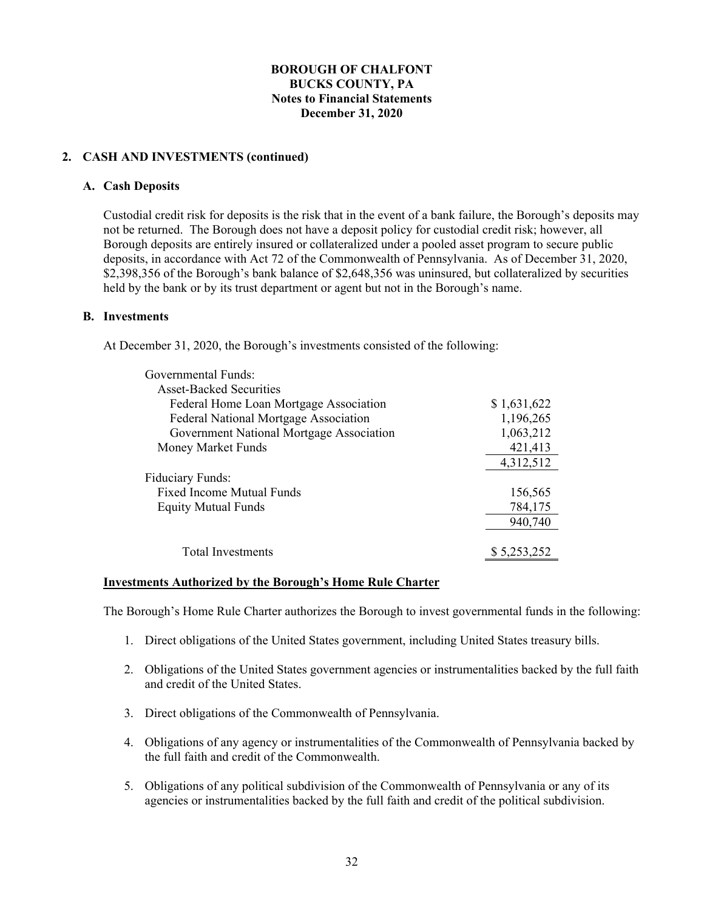# **2. CASH AND INVESTMENTS (continued)**

#### **A. Cash Deposits**

Custodial credit risk for deposits is the risk that in the event of a bank failure, the Borough's deposits may not be returned. The Borough does not have a deposit policy for custodial credit risk; however, all Borough deposits are entirely insured or collateralized under a pooled asset program to secure public deposits, in accordance with Act 72 of the Commonwealth of Pennsylvania. As of December 31, 2020, \$2,398,356 of the Borough's bank balance of \$2,648,356 was uninsured, but collateralized by securities held by the bank or by its trust department or agent but not in the Borough's name.

#### **B. Investments**

At December 31, 2020, the Borough's investments consisted of the following:

| Governmental Funds:                      |             |
|------------------------------------------|-------------|
| <b>Asset-Backed Securities</b>           |             |
| Federal Home Loan Mortgage Association   | \$1,631,622 |
| Federal National Mortgage Association    | 1,196,265   |
| Government National Mortgage Association | 1,063,212   |
| Money Market Funds                       | 421,413     |
|                                          | 4,312,512   |
| <b>Fiduciary Funds:</b>                  |             |
| <b>Fixed Income Mutual Funds</b>         | 156,565     |
| <b>Equity Mutual Funds</b>               | 784,175     |
|                                          | 940,740     |
|                                          |             |
| <b>Total Investments</b>                 | \$5,253,252 |

#### **Investments Authorized by the Borough's Home Rule Charter**

The Borough's Home Rule Charter authorizes the Borough to invest governmental funds in the following:

- 1. Direct obligations of the United States government, including United States treasury bills.
- 2. Obligations of the United States government agencies or instrumentalities backed by the full faith and credit of the United States.
- 3. Direct obligations of the Commonwealth of Pennsylvania.
- 4. Obligations of any agency or instrumentalities of the Commonwealth of Pennsylvania backed by the full faith and credit of the Commonwealth.
- 5. Obligations of any political subdivision of the Commonwealth of Pennsylvania or any of its agencies or instrumentalities backed by the full faith and credit of the political subdivision.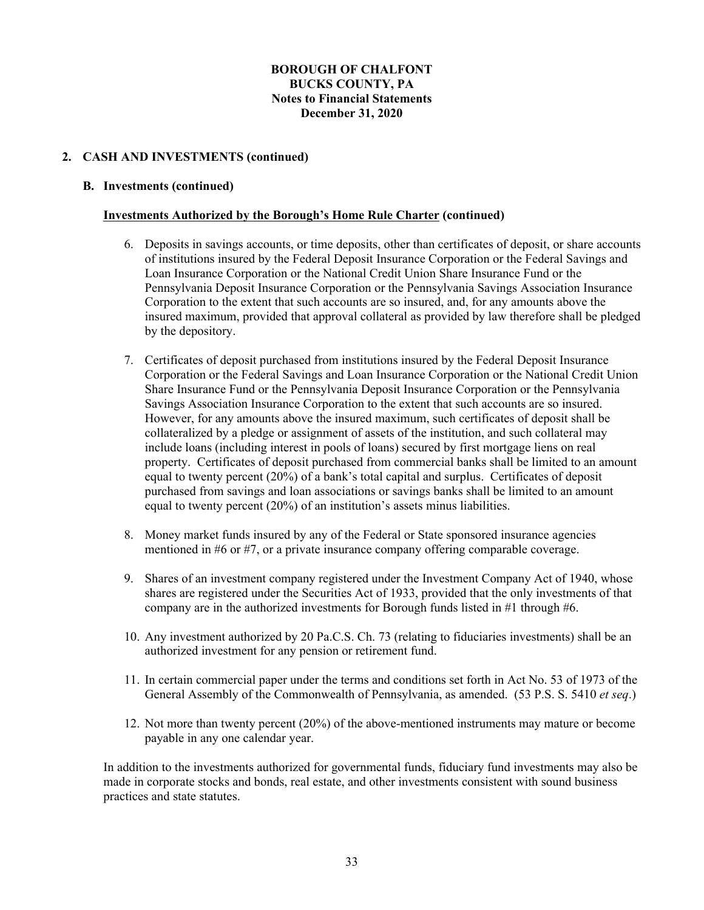# **2. CASH AND INVESTMENTS (continued)**

#### **B. Investments (continued)**

# **Investments Authorized by the Borough's Home Rule Charter (continued)**

- 6. Deposits in savings accounts, or time deposits, other than certificates of deposit, or share accounts of institutions insured by the Federal Deposit Insurance Corporation or the Federal Savings and Loan Insurance Corporation or the National Credit Union Share Insurance Fund or the Pennsylvania Deposit Insurance Corporation or the Pennsylvania Savings Association Insurance Corporation to the extent that such accounts are so insured, and, for any amounts above the insured maximum, provided that approval collateral as provided by law therefore shall be pledged by the depository.
- 7. Certificates of deposit purchased from institutions insured by the Federal Deposit Insurance Corporation or the Federal Savings and Loan Insurance Corporation or the National Credit Union Share Insurance Fund or the Pennsylvania Deposit Insurance Corporation or the Pennsylvania Savings Association Insurance Corporation to the extent that such accounts are so insured. However, for any amounts above the insured maximum, such certificates of deposit shall be collateralized by a pledge or assignment of assets of the institution, and such collateral may include loans (including interest in pools of loans) secured by first mortgage liens on real property. Certificates of deposit purchased from commercial banks shall be limited to an amount equal to twenty percent (20%) of a bank's total capital and surplus. Certificates of deposit purchased from savings and loan associations or savings banks shall be limited to an amount equal to twenty percent (20%) of an institution's assets minus liabilities.
- 8. Money market funds insured by any of the Federal or State sponsored insurance agencies mentioned in #6 or #7, or a private insurance company offering comparable coverage.
- 9. Shares of an investment company registered under the Investment Company Act of 1940, whose shares are registered under the Securities Act of 1933, provided that the only investments of that company are in the authorized investments for Borough funds listed in #1 through #6.
- 10. Any investment authorized by 20 Pa.C.S. Ch. 73 (relating to fiduciaries investments) shall be an authorized investment for any pension or retirement fund.
- 11. In certain commercial paper under the terms and conditions set forth in Act No. 53 of 1973 of the General Assembly of the Commonwealth of Pennsylvania, as amended. (53 P.S. S. 5410 *et seq*.)
- 12. Not more than twenty percent (20%) of the above-mentioned instruments may mature or become payable in any one calendar year.

In addition to the investments authorized for governmental funds, fiduciary fund investments may also be made in corporate stocks and bonds, real estate, and other investments consistent with sound business practices and state statutes.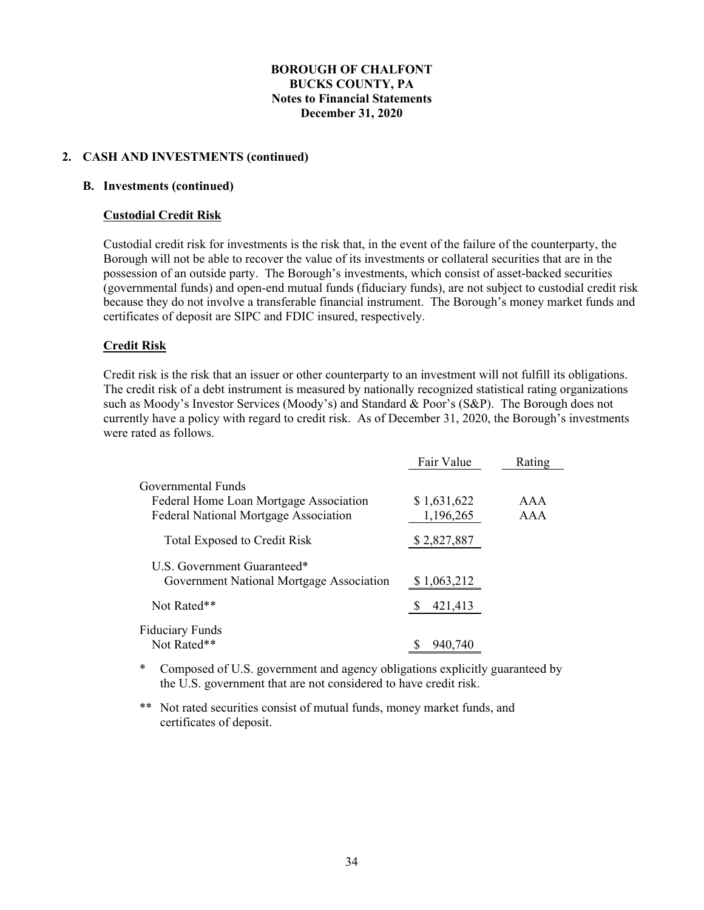# **2. CASH AND INVESTMENTS (continued)**

#### **B. Investments (continued)**

#### **Custodial Credit Risk**

Custodial credit risk for investments is the risk that, in the event of the failure of the counterparty, the Borough will not be able to recover the value of its investments or collateral securities that are in the possession of an outside party. The Borough's investments, which consist of asset-backed securities (governmental funds) and open-end mutual funds (fiduciary funds), are not subject to custodial credit risk because they do not involve a transferable financial instrument. The Borough's money market funds and certificates of deposit are SIPC and FDIC insured, respectively.

#### **Credit Risk**

Credit risk is the risk that an issuer or other counterparty to an investment will not fulfill its obligations. The credit risk of a debt instrument is measured by nationally recognized statistical rating organizations such as Moody's Investor Services (Moody's) and Standard & Poor's (S&P). The Borough does not currently have a policy with regard to credit risk. As of December 31, 2020, the Borough's investments were rated as follows.

|                                                                                 | Fair Value               | Rating     |
|---------------------------------------------------------------------------------|--------------------------|------------|
| Governmental Funds                                                              |                          |            |
| Federal Home Loan Mortgage Association<br>Federal National Mortgage Association | \$1,631,622<br>1,196,265 | AAA<br>AAA |
| <b>Total Exposed to Credit Risk</b>                                             | \$2,827,887              |            |
| U.S. Government Guaranteed*<br>Government National Mortgage Association         | \$1,063,212              |            |
| Not Rated**                                                                     | 421,413                  |            |
| <b>Fiduciary Funds</b><br>Not Rated**                                           | 940,740                  |            |

\* Composed of U.S. government and agency obligations explicitly guaranteed by the U.S. government that are not considered to have credit risk.

\*\* Not rated securities consist of mutual funds, money market funds, and certificates of deposit.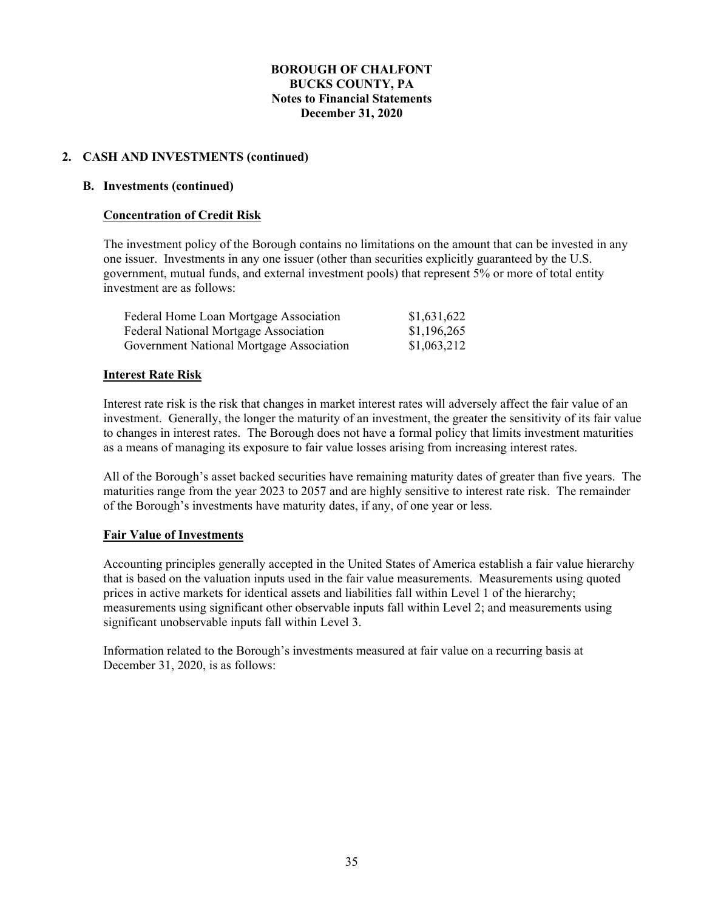# **2. CASH AND INVESTMENTS (continued)**

#### **B. Investments (continued)**

# **Concentration of Credit Risk**

The investment policy of the Borough contains no limitations on the amount that can be invested in any one issuer. Investments in any one issuer (other than securities explicitly guaranteed by the U.S. government, mutual funds, and external investment pools) that represent 5% or more of total entity investment are as follows:

| Federal Home Loan Mortgage Association   | \$1,631,622 |
|------------------------------------------|-------------|
| Federal National Mortgage Association    | \$1,196,265 |
| Government National Mortgage Association | \$1,063,212 |

#### **Interest Rate Risk**

Interest rate risk is the risk that changes in market interest rates will adversely affect the fair value of an investment. Generally, the longer the maturity of an investment, the greater the sensitivity of its fair value to changes in interest rates. The Borough does not have a formal policy that limits investment maturities as a means of managing its exposure to fair value losses arising from increasing interest rates.

All of the Borough's asset backed securities have remaining maturity dates of greater than five years. The maturities range from the year 2023 to 2057 and are highly sensitive to interest rate risk. The remainder of the Borough's investments have maturity dates, if any, of one year or less.

#### **Fair Value of Investments**

Accounting principles generally accepted in the United States of America establish a fair value hierarchy that is based on the valuation inputs used in the fair value measurements. Measurements using quoted prices in active markets for identical assets and liabilities fall within Level 1 of the hierarchy; measurements using significant other observable inputs fall within Level 2; and measurements using significant unobservable inputs fall within Level 3.

Information related to the Borough's investments measured at fair value on a recurring basis at December 31, 2020, is as follows: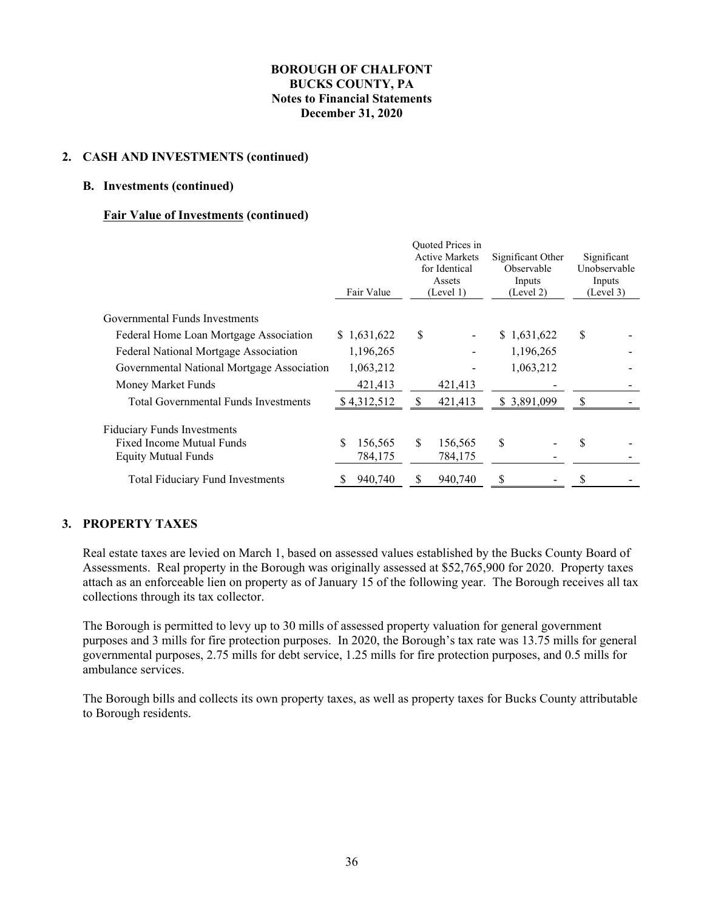#### **2. CASH AND INVESTMENTS (continued)**

# **B. Investments (continued)**

# **Fair Value of Investments (continued)**

|                                             | Fair Value    |     | <b>Ouoted Prices in</b><br><b>Active Markets</b><br>for Identical<br>Assets<br>(Level 1) |   | Significant Other<br>Observable<br>Inputs<br>(Level 2) | Significant<br>Unobservable<br>Inputs<br>(Level 3) |  |
|---------------------------------------------|---------------|-----|------------------------------------------------------------------------------------------|---|--------------------------------------------------------|----------------------------------------------------|--|
| Governmental Funds Investments              |               |     |                                                                                          |   |                                                        |                                                    |  |
| Federal Home Loan Mortgage Association      | \$1,631,622   | \$  |                                                                                          |   | \$1,631,622                                            | \$                                                 |  |
| Federal National Mortgage Association       | 1,196,265     |     |                                                                                          |   | 1,196,265                                              |                                                    |  |
| Governmental National Mortgage Association  | 1,063,212     |     |                                                                                          |   | 1,063,212                                              |                                                    |  |
| Money Market Funds                          | 421,413       |     | 421,413                                                                                  |   |                                                        |                                                    |  |
| <b>Total Governmental Funds Investments</b> | \$4,312,512   | S   | 421,413                                                                                  |   | \$ 3,891,099                                           | S                                                  |  |
| <b>Fiduciary Funds Investments</b>          |               |     |                                                                                          |   |                                                        |                                                    |  |
| Fixed Income Mutual Funds                   | \$<br>156,565 | \$. | 156,565                                                                                  | S |                                                        | \$                                                 |  |
| <b>Equity Mutual Funds</b>                  | 784,175       |     | 784,175                                                                                  |   |                                                        |                                                    |  |
| <b>Total Fiduciary Fund Investments</b>     | 940,740       | S   | 940,740                                                                                  | S |                                                        | S                                                  |  |

#### **3. PROPERTY TAXES**

Real estate taxes are levied on March 1, based on assessed values established by the Bucks County Board of Assessments. Real property in the Borough was originally assessed at \$52,765,900 for 2020. Property taxes attach as an enforceable lien on property as of January 15 of the following year. The Borough receives all tax collections through its tax collector.

The Borough is permitted to levy up to 30 mills of assessed property valuation for general government purposes and 3 mills for fire protection purposes. In 2020, the Borough's tax rate was 13.75 mills for general governmental purposes, 2.75 mills for debt service, 1.25 mills for fire protection purposes, and 0.5 mills for ambulance services.

The Borough bills and collects its own property taxes, as well as property taxes for Bucks County attributable to Borough residents.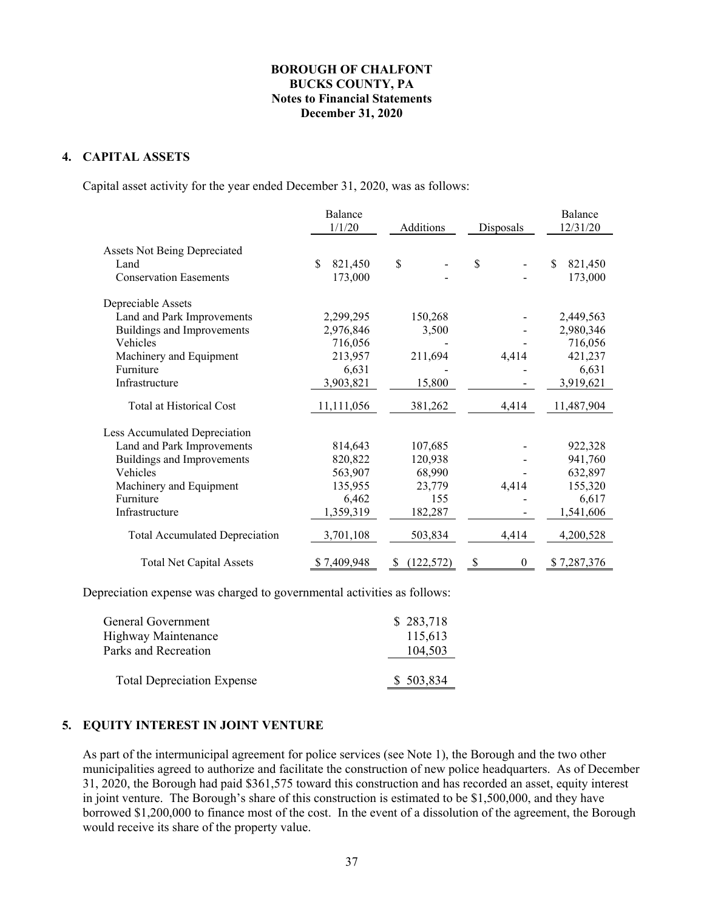### **4. CAPITAL ASSETS**

Capital asset activity for the year ended December 31, 2020, was as follows:

|                                       | Balance<br>1/1/20 | Additions        | Disposals          | Balance<br>12/31/20 |
|---------------------------------------|-------------------|------------------|--------------------|---------------------|
| <b>Assets Not Being Depreciated</b>   |                   |                  |                    |                     |
| Land                                  | \$<br>821,450     | $\mathsf{\$}$    | $\mathcal{S}$      | \$<br>821,450       |
| <b>Conservation Easements</b>         | 173,000           |                  |                    | 173,000             |
| Depreciable Assets                    |                   |                  |                    |                     |
| Land and Park Improvements            | 2,299,295         | 150,268          |                    | 2,449,563           |
| Buildings and Improvements            | 2,976,846         | 3,500            |                    | 2,980,346           |
| Vehicles                              | 716,056           |                  |                    | 716,056             |
| Machinery and Equipment               | 213,957           | 211,694          | 4,414              | 421,237             |
| Furniture                             | 6,631             |                  |                    | 6,631               |
| Infrastructure                        | 3,903,821         | 15,800           |                    | 3,919,621           |
| <b>Total at Historical Cost</b>       | 11,111,056        | 381,262          | 4,414              | 11,487,904          |
| Less Accumulated Depreciation         |                   |                  |                    |                     |
| Land and Park Improvements            | 814,643           | 107,685          |                    | 922,328             |
| Buildings and Improvements            | 820,822           | 120,938          |                    | 941,760             |
| Vehicles                              | 563,907           | 68,990           |                    | 632,897             |
| Machinery and Equipment               | 135,955           | 23,779           | 4,414              | 155,320             |
| Furniture                             | 6,462             | 155              |                    | 6,617               |
| Infrastructure                        | 1,359,319         | 182,287          |                    | 1,541,606           |
| <b>Total Accumulated Depreciation</b> | 3,701,108         | 503,834          | 4,414              | 4,200,528           |
| <b>Total Net Capital Assets</b>       | \$7,409,948       | (122, 572)<br>\$ | \$<br>$\mathbf{0}$ | \$7,287,376         |

Depreciation expense was charged to governmental activities as follows:

| General Government                | \$283,718 |
|-----------------------------------|-----------|
| Highway Maintenance               | 115,613   |
| Parks and Recreation              | 104,503   |
|                                   |           |
| <b>Total Depreciation Expense</b> | \$503,834 |
|                                   |           |

#### **5. EQUITY INTEREST IN JOINT VENTURE**

As part of the intermunicipal agreement for police services (see Note 1), the Borough and the two other municipalities agreed to authorize and facilitate the construction of new police headquarters. As of December 31, 2020, the Borough had paid \$361,575 toward this construction and has recorded an asset, equity interest in joint venture. The Borough's share of this construction is estimated to be \$1,500,000, and they have borrowed \$1,200,000 to finance most of the cost. In the event of a dissolution of the agreement, the Borough would receive its share of the property value.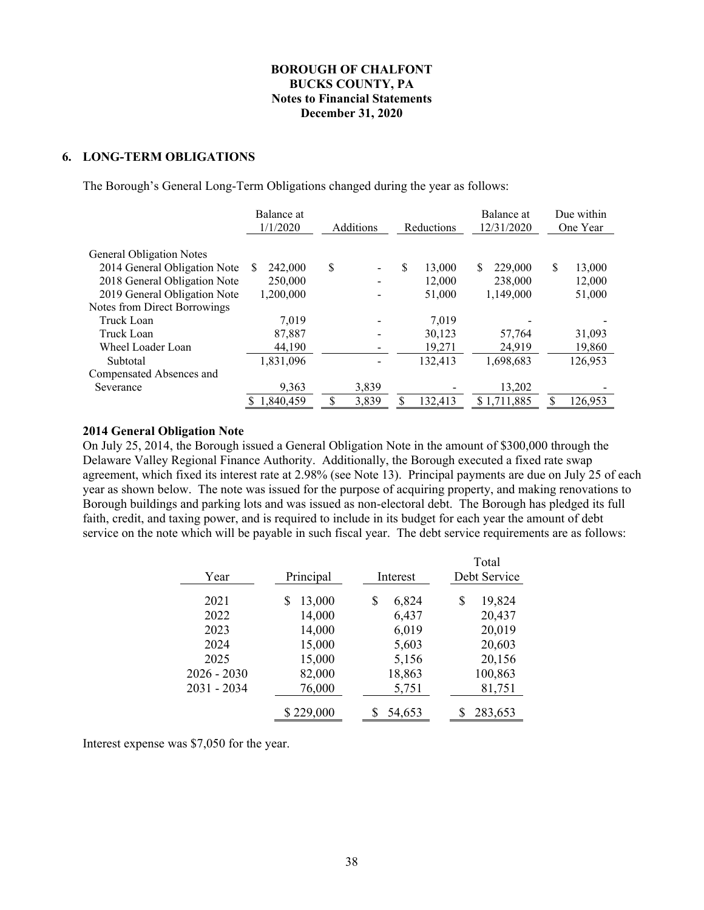## **6. LONG-TERM OBLIGATIONS**

The Borough's General Long-Term Obligations changed during the year as follows:

|                                 | Balance at<br>1/1/2020 | Additions                      | Reductions    | Balance at<br>12/31/2020 |               | Due within<br>One Year |
|---------------------------------|------------------------|--------------------------------|---------------|--------------------------|---------------|------------------------|
|                                 |                        |                                |               |                          |               |                        |
| <b>General Obligation Notes</b> |                        |                                |               |                          |               |                        |
| 2014 General Obligation Note    | 242,000<br>S           | \$<br>$\overline{\phantom{0}}$ | \$<br>13,000  | 229,000<br>S             | <sup>\$</sup> | 13,000                 |
| 2018 General Obligation Note    | 250,000                | $\overline{\phantom{0}}$       | 12,000        | 238,000                  |               | 12,000                 |
| 2019 General Obligation Note    | 1,200,000              |                                | 51,000        | 1,149,000                |               | 51,000                 |
| Notes from Direct Borrowings    |                        |                                |               |                          |               |                        |
| Truck Loan                      | 7.019                  |                                | 7.019         |                          |               |                        |
| Truck Loan                      | 87,887                 |                                | 30,123        | 57,764                   |               | 31,093                 |
| Wheel Loader Loan               | 44,190                 |                                | 19,271        | 24,919                   |               | 19,860                 |
| Subtotal                        | 1,831,096              |                                | 132.413       | 1,698,683                |               | 126,953                |
| Compensated Absences and        |                        |                                |               |                          |               |                        |
| Severance                       | 9,363                  | 3,839                          |               | 13,202                   |               |                        |
|                                 | 1,840,459              | \$<br>3,839                    | \$<br>132,413 | \$1,711,885              | \$            | 126,953                |

#### **2014 General Obligation Note**

On July 25, 2014, the Borough issued a General Obligation Note in the amount of \$300,000 through the Delaware Valley Regional Finance Authority. Additionally, the Borough executed a fixed rate swap agreement, which fixed its interest rate at 2.98% (see Note 13). Principal payments are due on July 25 of each year as shown below. The note was issued for the purpose of acquiring property, and making renovations to Borough buildings and parking lots and was issued as non-electoral debt. The Borough has pledged its full faith, credit, and taxing power, and is required to include in its budget for each year the amount of debt service on the note which will be payable in such fiscal year. The debt service requirements are as follows:

|               |                  |                | Total            |
|---------------|------------------|----------------|------------------|
| Year          | Principal        | Interest       | Debt Service     |
| 2021          | 13,000<br>S      | \$<br>6,824    | 19,824<br>\$     |
| 2022          | 14,000           | 6,437          | 20,437           |
| 2023<br>2024  | 14,000<br>15,000 | 6,019<br>5,603 | 20,019<br>20,603 |
| 2025          | 15,000           | 5,156          | 20,156           |
| $2026 - 2030$ | 82,000           | 18,863         | 100,863          |
| $2031 - 2034$ | 76,000           | 5,751          | 81,751           |
|               | \$229,000        | 54,653         | 283,653          |

Interest expense was \$7,050 for the year.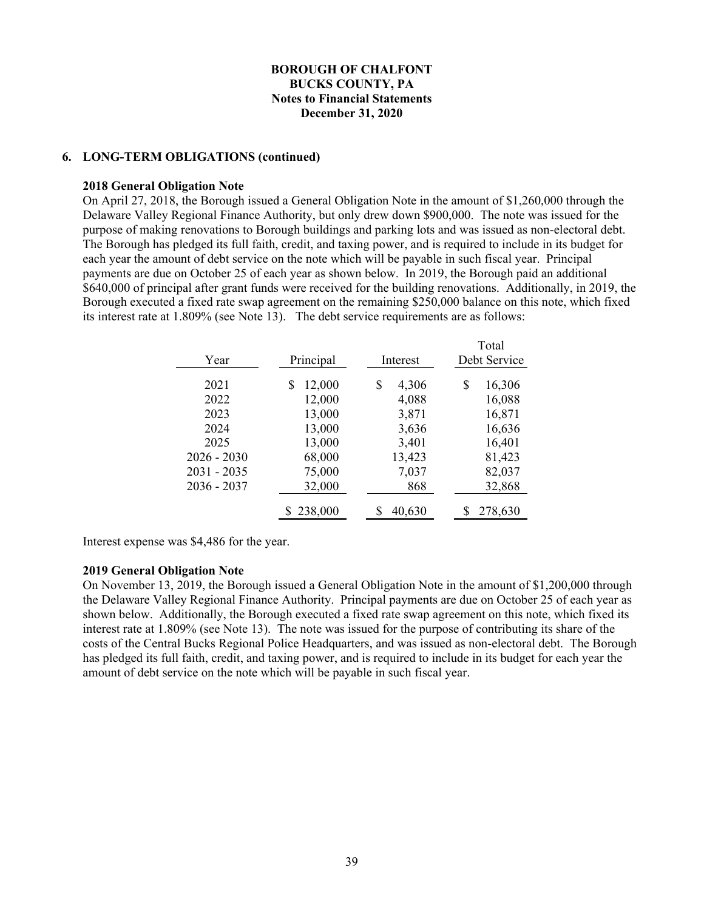#### **6. LONG-TERM OBLIGATIONS (continued)**

#### **2018 General Obligation Note**

On April 27, 2018, the Borough issued a General Obligation Note in the amount of \$1,260,000 through the Delaware Valley Regional Finance Authority, but only drew down \$900,000. The note was issued for the purpose of making renovations to Borough buildings and parking lots and was issued as non-electoral debt. The Borough has pledged its full faith, credit, and taxing power, and is required to include in its budget for each year the amount of debt service on the note which will be payable in such fiscal year. Principal payments are due on October 25 of each year as shown below. In 2019, the Borough paid an additional \$640,000 of principal after grant funds were received for the building renovations. Additionally, in 2019, the Borough executed a fixed rate swap agreement on the remaining \$250,000 balance on this note, which fixed its interest rate at 1.809% (see Note 13). The debt service requirements are as follows:

|               |                       |                      | Total                  |
|---------------|-----------------------|----------------------|------------------------|
| Year          | Principal             | Interest             | Debt Service           |
| 2021<br>2022  | 12,000<br>S<br>12,000 | \$<br>4,306<br>4,088 | \$<br>16,306<br>16,088 |
| 2023          | 13,000                | 3,871                | 16,871                 |
| 2024          | 13,000                | 3,636                | 16,636                 |
| 2025          | 13,000                | 3,401                | 16,401                 |
| $2026 - 2030$ | 68,000                | 13,423               | 81,423                 |
| $2031 - 2035$ | 75,000                | 7,037                | 82,037                 |
| $2036 - 2037$ | 32,000                | 868                  | 32,868                 |
|               | \$238,000             | 40,630               | 278,630                |

Interest expense was \$4,486 for the year.

#### **2019 General Obligation Note**

On November 13, 2019, the Borough issued a General Obligation Note in the amount of \$1,200,000 through the Delaware Valley Regional Finance Authority. Principal payments are due on October 25 of each year as shown below. Additionally, the Borough executed a fixed rate swap agreement on this note, which fixed its interest rate at 1.809% (see Note 13). The note was issued for the purpose of contributing its share of the costs of the Central Bucks Regional Police Headquarters, and was issued as non-electoral debt. The Borough has pledged its full faith, credit, and taxing power, and is required to include in its budget for each year the amount of debt service on the note which will be payable in such fiscal year.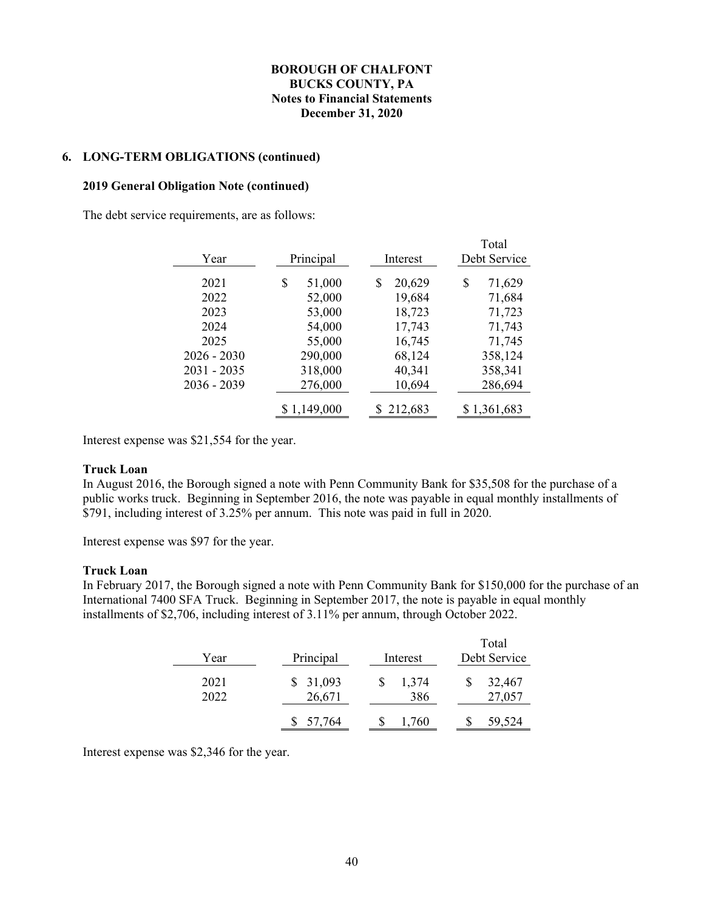#### **6. LONG-TERM OBLIGATIONS (continued)**

#### **2019 General Obligation Note (continued)**

The debt service requirements, are as follows:

| Year          | Principal    | Interest     | Total<br>Debt Service |
|---------------|--------------|--------------|-----------------------|
| 2021          | \$<br>51,000 | 20,629<br>\$ | \$<br>71,629          |
| 2022          | 52,000       | 19,684       | 71,684                |
| 2023          | 53,000       | 18,723       | 71,723                |
| 2024          | 54,000       | 17,743       | 71,743                |
| 2025          | 55,000       | 16,745       | 71,745                |
| $2026 - 2030$ | 290,000      | 68,124       | 358,124               |
| $2031 - 2035$ | 318,000      | 40,341       | 358,341               |
| $2036 - 2039$ | 276,000      | 10,694       | 286,694               |
|               | \$1,149,000  | 212,683      | \$1,361,683           |

Interest expense was \$21,554 for the year.

#### **Truck Loan**

In August 2016, the Borough signed a note with Penn Community Bank for \$35,508 for the purchase of a public works truck. Beginning in September 2016, the note was payable in equal monthly installments of \$791, including interest of 3.25% per annum. This note was paid in full in 2020.

Interest expense was \$97 for the year.

#### **Truck Loan**

In February 2017, the Borough signed a note with Penn Community Bank for \$150,000 for the purchase of an International 7400 SFA Truck. Beginning in September 2017, the note is payable in equal monthly installments of \$2,706, including interest of 3.11% per annum, through October 2022.

|              |                    |              | Total            |
|--------------|--------------------|--------------|------------------|
| Year         | Principal          | Interest     | Debt Service     |
| 2021<br>2022 | \$31,093<br>26,671 | 1,374<br>386 | 32,467<br>27,057 |
|              | 57,764             | 1,760        | 59,524           |

Interest expense was \$2,346 for the year.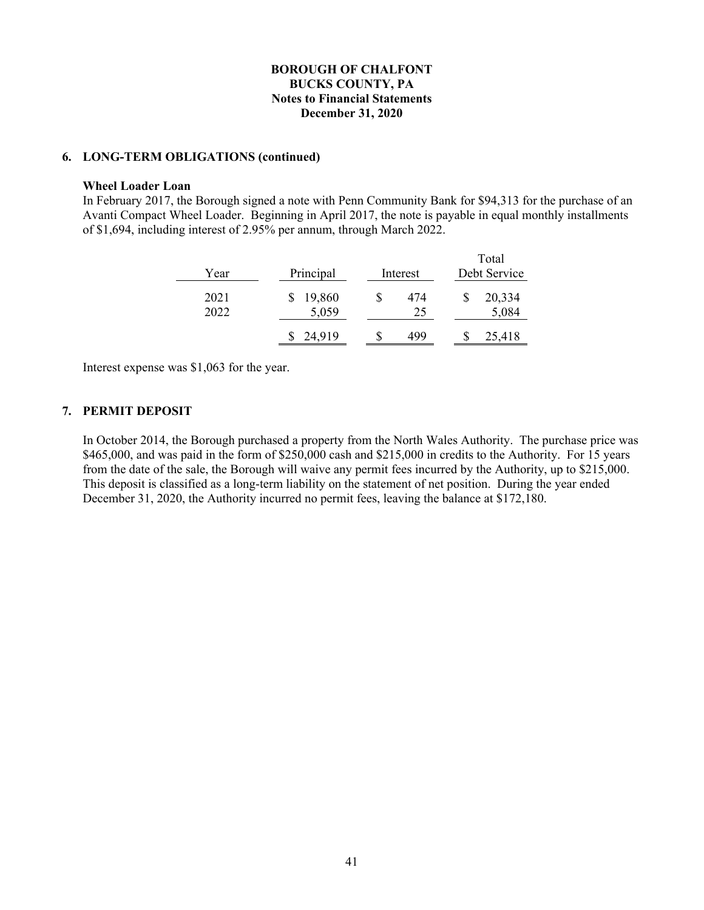#### **6. LONG-TERM OBLIGATIONS (continued)**

#### **Wheel Loader Loan**

In February 2017, the Borough signed a note with Penn Community Bank for \$94,313 for the purchase of an Avanti Compact Wheel Loader. Beginning in April 2017, the note is payable in equal monthly installments of \$1,694, including interest of 2.95% per annum, through March 2022.

| Year | Principal | Interest | Total<br>Debt Service |
|------|-----------|----------|-----------------------|
| 2021 | 19,860    | 474      | 20,334                |
| 2022 | 5,059     | 25       | 5,084                 |
|      | 24,919    | 499      | 25,418                |

Interest expense was \$1,063 for the year.

# **7. PERMIT DEPOSIT**

In October 2014, the Borough purchased a property from the North Wales Authority. The purchase price was \$465,000, and was paid in the form of \$250,000 cash and \$215,000 in credits to the Authority. For 15 years from the date of the sale, the Borough will waive any permit fees incurred by the Authority, up to \$215,000. This deposit is classified as a long-term liability on the statement of net position. During the year ended December 31, 2020, the Authority incurred no permit fees, leaving the balance at \$172,180.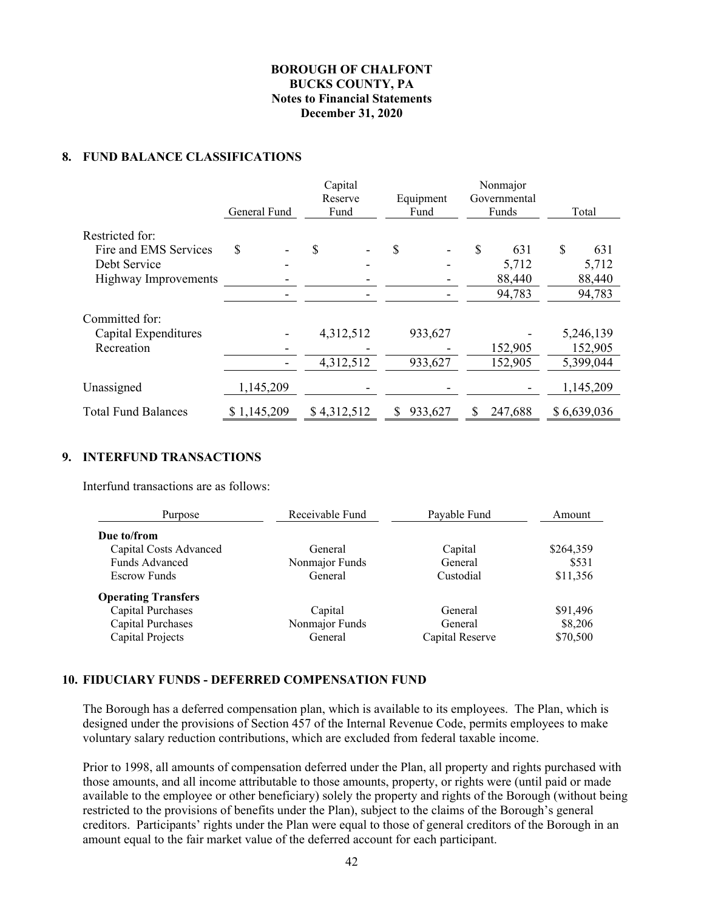#### **8. FUND BALANCE CLASSIFICATIONS**

|                            |              | Capital     |           | Nonmajor      |             |
|----------------------------|--------------|-------------|-----------|---------------|-------------|
|                            |              | Reserve     | Equipment | Governmental  |             |
|                            | General Fund | Fund        | Fund      | Funds         | Total       |
| Restricted for:            |              |             |           |               |             |
| Fire and EMS Services      | \$           | \$          | \$        | S<br>631      | \$<br>631   |
| Debt Service               |              |             |           | 5,712         | 5,712       |
| Highway Improvements       |              |             |           | 88,440        | 88,440      |
|                            |              |             |           | 94,783        | 94,783      |
| Committed for:             |              |             |           |               |             |
| Capital Expenditures       |              | 4,312,512   | 933,627   |               | 5,246,139   |
| Recreation                 |              |             |           | 152,905       | 152,905     |
|                            |              | 4,312,512   | 933,627   | 152,905       | 5,399,044   |
| Unassigned                 | 1,145,209    |             |           |               | 1,145,209   |
| <b>Total Fund Balances</b> | \$1,145,209  | \$4,312,512 | 933,627   | \$<br>247,688 | \$6,639,036 |

#### **9. INTERFUND TRANSACTIONS**

Interfund transactions are as follows:

| Purpose                    | Receivable Fund | Payable Fund    |           |
|----------------------------|-----------------|-----------------|-----------|
| Due to/from                |                 |                 |           |
| Capital Costs Advanced     | General         | Capital         | \$264,359 |
| Funds Advanced             | Nonmajor Funds  | General         | \$531     |
| Escrow Funds               | General         | Custodial       | \$11,356  |
| <b>Operating Transfers</b> |                 |                 |           |
| Capital Purchases          | Capital         | General         | \$91,496  |
| Capital Purchases          | Nonmajor Funds  | General         | \$8,206   |
| Capital Projects           | General         | Capital Reserve | \$70,500  |

#### **10. FIDUCIARY FUNDS - DEFERRED COMPENSATION FUND**

The Borough has a deferred compensation plan, which is available to its employees. The Plan, which is designed under the provisions of Section 457 of the Internal Revenue Code, permits employees to make voluntary salary reduction contributions, which are excluded from federal taxable income.

Prior to 1998, all amounts of compensation deferred under the Plan, all property and rights purchased with those amounts, and all income attributable to those amounts, property, or rights were (until paid or made available to the employee or other beneficiary) solely the property and rights of the Borough (without being restricted to the provisions of benefits under the Plan), subject to the claims of the Borough's general creditors. Participants' rights under the Plan were equal to those of general creditors of the Borough in an amount equal to the fair market value of the deferred account for each participant.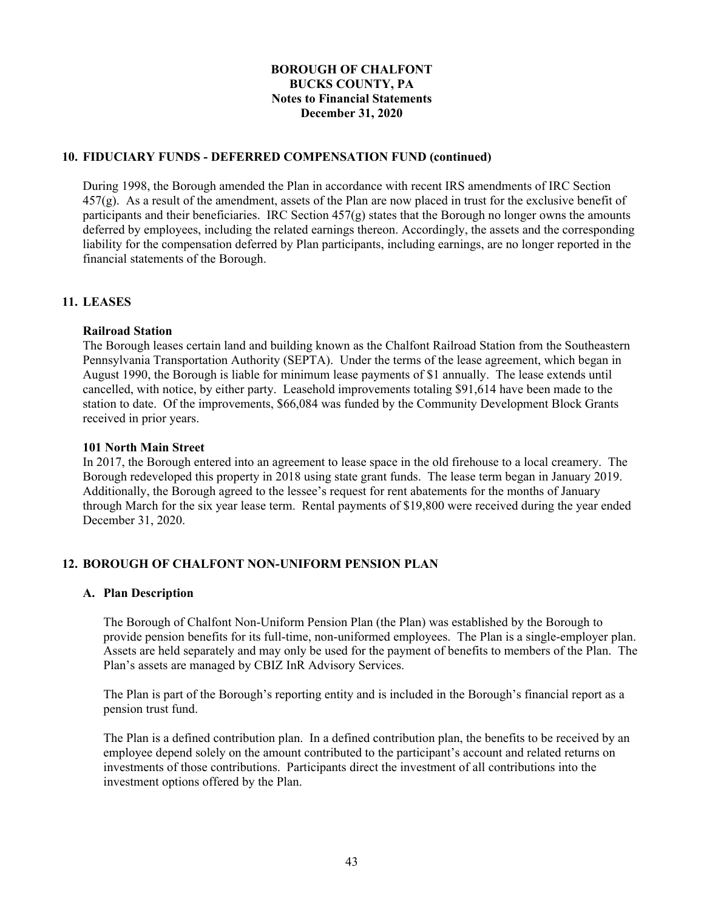#### **10. FIDUCIARY FUNDS - DEFERRED COMPENSATION FUND (continued)**

During 1998, the Borough amended the Plan in accordance with recent IRS amendments of IRC Section 457(g). As a result of the amendment, assets of the Plan are now placed in trust for the exclusive benefit of participants and their beneficiaries. IRC Section  $457(g)$  states that the Borough no longer owns the amounts deferred by employees, including the related earnings thereon. Accordingly, the assets and the corresponding liability for the compensation deferred by Plan participants, including earnings, are no longer reported in the financial statements of the Borough.

#### **11. LEASES**

#### **Railroad Station**

The Borough leases certain land and building known as the Chalfont Railroad Station from the Southeastern Pennsylvania Transportation Authority (SEPTA). Under the terms of the lease agreement, which began in August 1990, the Borough is liable for minimum lease payments of \$1 annually. The lease extends until cancelled, with notice, by either party. Leasehold improvements totaling \$91,614 have been made to the station to date. Of the improvements, \$66,084 was funded by the Community Development Block Grants received in prior years.

#### **101 North Main Street**

In 2017, the Borough entered into an agreement to lease space in the old firehouse to a local creamery. The Borough redeveloped this property in 2018 using state grant funds. The lease term began in January 2019. Additionally, the Borough agreed to the lessee's request for rent abatements for the months of January through March for the six year lease term. Rental payments of \$19,800 were received during the year ended December 31, 2020.

# **12. BOROUGH OF CHALFONT NON-UNIFORM PENSION PLAN**

#### **A. Plan Description**

The Borough of Chalfont Non-Uniform Pension Plan (the Plan) was established by the Borough to provide pension benefits for its full-time, non-uniformed employees. The Plan is a single-employer plan. Assets are held separately and may only be used for the payment of benefits to members of the Plan. The Plan's assets are managed by CBIZ InR Advisory Services.

The Plan is part of the Borough's reporting entity and is included in the Borough's financial report as a pension trust fund.

The Plan is a defined contribution plan. In a defined contribution plan, the benefits to be received by an employee depend solely on the amount contributed to the participant's account and related returns on investments of those contributions. Participants direct the investment of all contributions into the investment options offered by the Plan.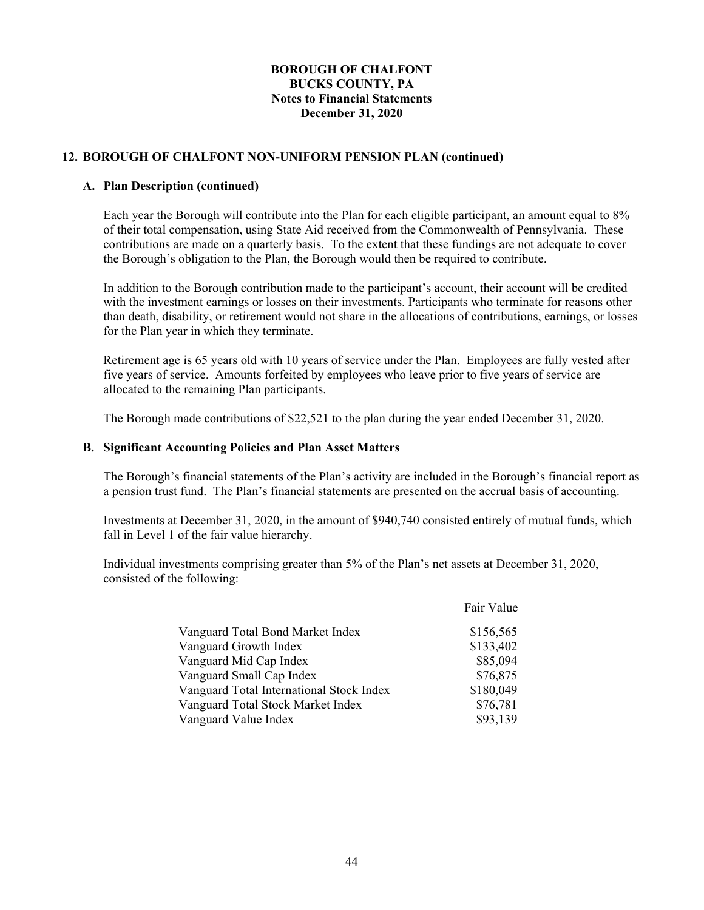# **12. BOROUGH OF CHALFONT NON-UNIFORM PENSION PLAN (continued)**

#### **A. Plan Description (continued)**

Each year the Borough will contribute into the Plan for each eligible participant, an amount equal to 8% of their total compensation, using State Aid received from the Commonwealth of Pennsylvania. These contributions are made on a quarterly basis. To the extent that these fundings are not adequate to cover the Borough's obligation to the Plan, the Borough would then be required to contribute.

In addition to the Borough contribution made to the participant's account, their account will be credited with the investment earnings or losses on their investments. Participants who terminate for reasons other than death, disability, or retirement would not share in the allocations of contributions, earnings, or losses for the Plan year in which they terminate.

Retirement age is 65 years old with 10 years of service under the Plan. Employees are fully vested after five years of service. Amounts forfeited by employees who leave prior to five years of service are allocated to the remaining Plan participants.

The Borough made contributions of \$22,521 to the plan during the year ended December 31, 2020.

#### **B. Significant Accounting Policies and Plan Asset Matters**

The Borough's financial statements of the Plan's activity are included in the Borough's financial report as a pension trust fund. The Plan's financial statements are presented on the accrual basis of accounting.

Investments at December 31, 2020, in the amount of \$940,740 consisted entirely of mutual funds, which fall in Level 1 of the fair value hierarchy.

Individual investments comprising greater than 5% of the Plan's net assets at December 31, 2020, consisted of the following:

|                                          | Fair Value |
|------------------------------------------|------------|
| Vanguard Total Bond Market Index         | \$156,565  |
| Vanguard Growth Index                    | \$133,402  |
| Vanguard Mid Cap Index                   | \$85,094   |
| Vanguard Small Cap Index                 | \$76,875   |
| Vanguard Total International Stock Index | \$180,049  |
| Vanguard Total Stock Market Index        | \$76,781   |
| Vanguard Value Index                     | \$93,139   |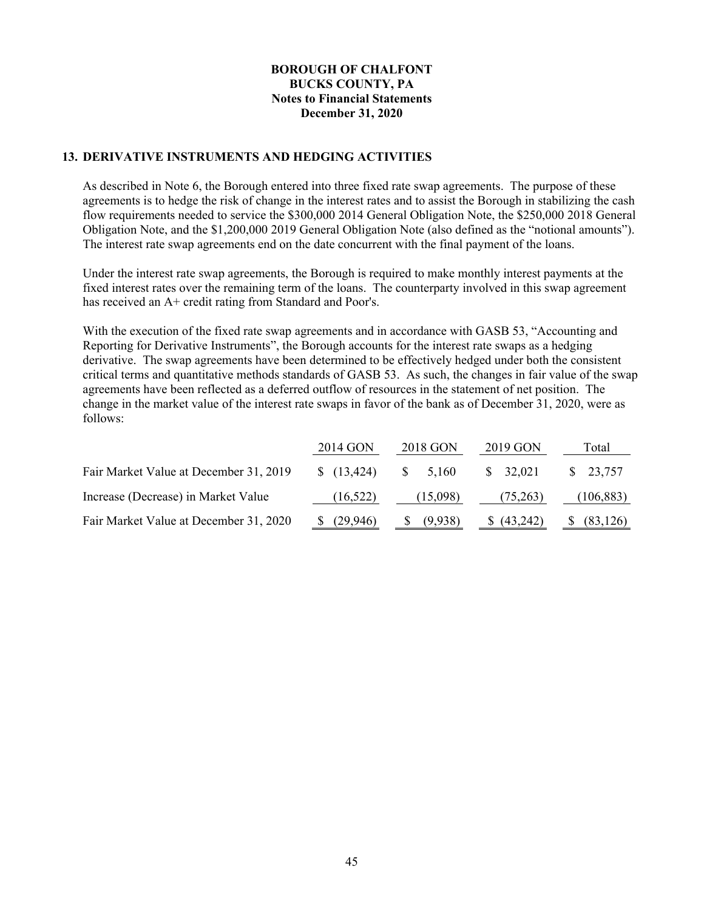#### **13. DERIVATIVE INSTRUMENTS AND HEDGING ACTIVITIES**

As described in Note 6, the Borough entered into three fixed rate swap agreements. The purpose of these agreements is to hedge the risk of change in the interest rates and to assist the Borough in stabilizing the cash flow requirements needed to service the \$300,000 2014 General Obligation Note, the \$250,000 2018 General Obligation Note, and the \$1,200,000 2019 General Obligation Note (also defined as the "notional amounts"). The interest rate swap agreements end on the date concurrent with the final payment of the loans.

Under the interest rate swap agreements, the Borough is required to make monthly interest payments at the fixed interest rates over the remaining term of the loans. The counterparty involved in this swap agreement has received an A+ credit rating from Standard and Poor's.

With the execution of the fixed rate swap agreements and in accordance with GASB 53, "Accounting and Reporting for Derivative Instruments", the Borough accounts for the interest rate swaps as a hedging derivative. The swap agreements have been determined to be effectively hedged under both the consistent critical terms and quantitative methods standards of GASB 53. As such, the changes in fair value of the swap agreements have been reflected as a deferred outflow of resources in the statement of net position. The change in the market value of the interest rate swaps in favor of the bank as of December 31, 2020, were as follows:

|                                        | 2014 GON     | 2018 GON | 2019 GON  | Total               |
|----------------------------------------|--------------|----------|-----------|---------------------|
| Fair Market Value at December 31, 2019 | $\{(13,424)$ | 5,160    | \$ 32,021 | $\frac{\$}{23,757}$ |
| Increase (Decrease) in Market Value    | (16,522)     | (15,098) | (75,263)  | (106, 883)          |
| Fair Market Value at December 31, 2020 | (29,946)     | (9,938)  | (43,242)  | (83, 126)           |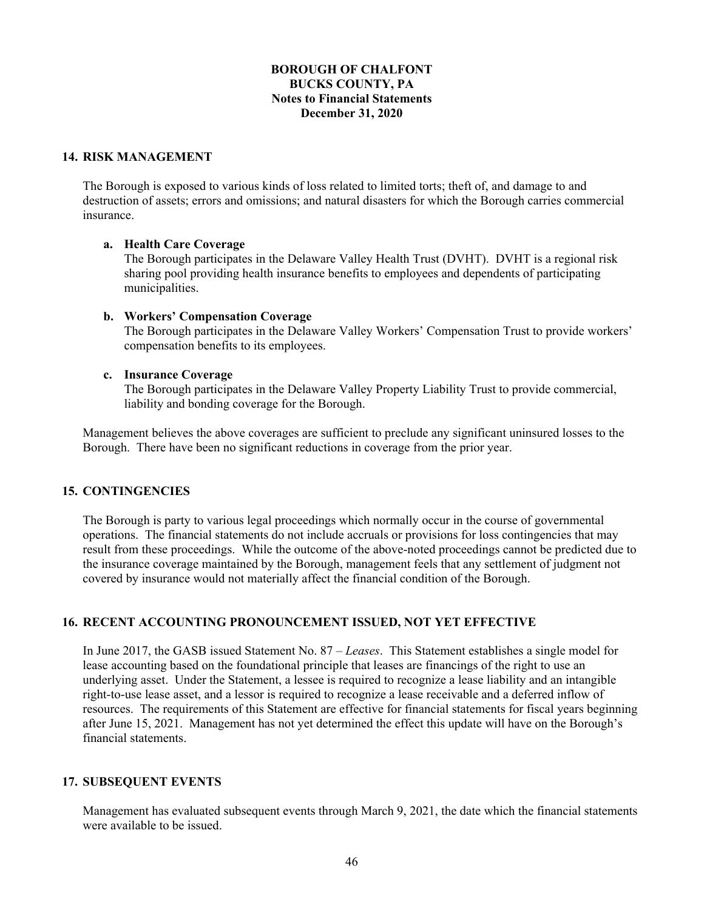#### **14. RISK MANAGEMENT**

The Borough is exposed to various kinds of loss related to limited torts; theft of, and damage to and destruction of assets; errors and omissions; and natural disasters for which the Borough carries commercial insurance.

#### **a. Health Care Coverage**

The Borough participates in the Delaware Valley Health Trust (DVHT). DVHT is a regional risk sharing pool providing health insurance benefits to employees and dependents of participating municipalities.

#### **b. Workers' Compensation Coverage**

The Borough participates in the Delaware Valley Workers' Compensation Trust to provide workers' compensation benefits to its employees.

#### **c. Insurance Coverage**

The Borough participates in the Delaware Valley Property Liability Trust to provide commercial, liability and bonding coverage for the Borough.

Management believes the above coverages are sufficient to preclude any significant uninsured losses to the Borough. There have been no significant reductions in coverage from the prior year.

#### **15. CONTINGENCIES**

The Borough is party to various legal proceedings which normally occur in the course of governmental operations. The financial statements do not include accruals or provisions for loss contingencies that may result from these proceedings. While the outcome of the above-noted proceedings cannot be predicted due to the insurance coverage maintained by the Borough, management feels that any settlement of judgment not covered by insurance would not materially affect the financial condition of the Borough.

#### **16. RECENT ACCOUNTING PRONOUNCEMENT ISSUED, NOT YET EFFECTIVE**

In June 2017, the GASB issued Statement No. 87 – *Leases*. This Statement establishes a single model for lease accounting based on the foundational principle that leases are financings of the right to use an underlying asset. Under the Statement, a lessee is required to recognize a lease liability and an intangible right-to-use lease asset, and a lessor is required to recognize a lease receivable and a deferred inflow of resources. The requirements of this Statement are effective for financial statements for fiscal years beginning after June 15, 2021. Management has not yet determined the effect this update will have on the Borough's financial statements.

#### **17. SUBSEQUENT EVENTS**

Management has evaluated subsequent events through March 9, 2021, the date which the financial statements were available to be issued.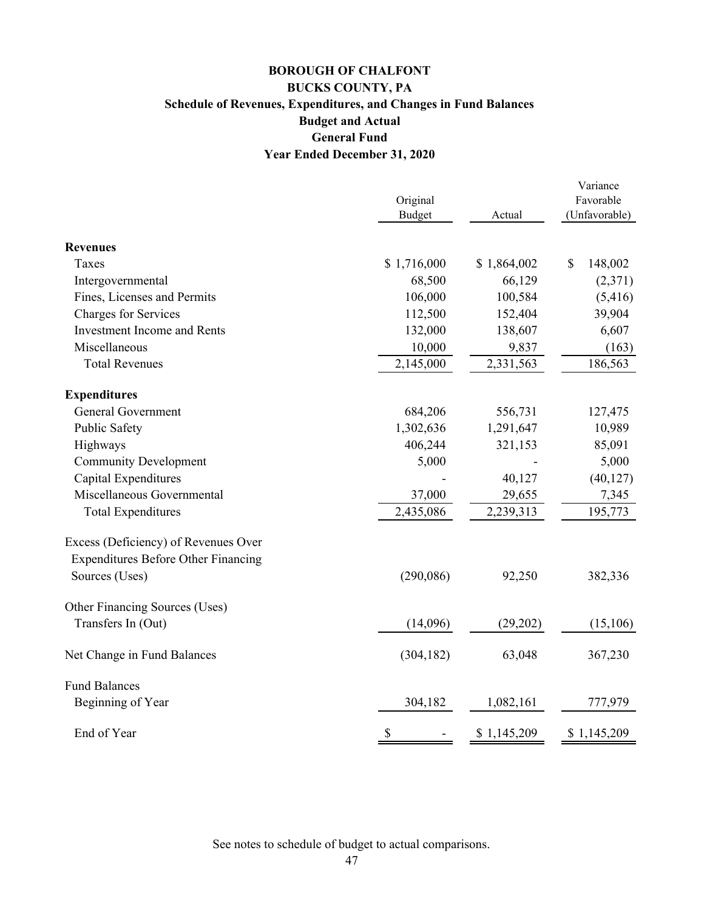# **Year Ended December 31, 2020 BOROUGH OF CHALFONT BUCKS COUNTY, PA Schedule of Revenues, Expenditures, and Changes in Fund Balances Budget and Actual General Fund**

|                                            | Original<br><b>Budget</b> | Actual      | Variance<br>Favorable<br>(Unfavorable) |
|--------------------------------------------|---------------------------|-------------|----------------------------------------|
| <b>Revenues</b>                            |                           |             |                                        |
| Taxes                                      | \$1,716,000               | \$1,864,002 | $\mathbb{S}$<br>148,002                |
| Intergovernmental                          | 68,500                    | 66,129      | (2,371)                                |
| Fines, Licenses and Permits                | 106,000                   | 100,584     | (5,416)                                |
| <b>Charges for Services</b>                | 112,500                   | 152,404     | 39,904                                 |
| <b>Investment Income and Rents</b>         | 132,000                   | 138,607     | 6,607                                  |
| Miscellaneous                              | 10,000                    | 9,837       | (163)                                  |
| <b>Total Revenues</b>                      | 2,145,000                 | 2,331,563   | 186,563                                |
| <b>Expenditures</b>                        |                           |             |                                        |
| <b>General Government</b>                  | 684,206                   | 556,731     | 127,475                                |
| Public Safety                              | 1,302,636                 | 1,291,647   | 10,989                                 |
| Highways                                   | 406,244                   | 321,153     | 85,091                                 |
| <b>Community Development</b>               | 5,000                     |             | 5,000                                  |
| Capital Expenditures                       |                           | 40,127      | (40, 127)                              |
| Miscellaneous Governmental                 | 37,000                    | 29,655      | 7,345                                  |
| <b>Total Expenditures</b>                  | 2,435,086                 | 2,239,313   | 195,773                                |
| Excess (Deficiency) of Revenues Over       |                           |             |                                        |
| <b>Expenditures Before Other Financing</b> |                           |             |                                        |
| Sources (Uses)                             | (290,086)                 | 92,250      | 382,336                                |
| Other Financing Sources (Uses)             |                           |             |                                        |
| Transfers In (Out)                         | (14,096)                  | (29,202)    | (15,106)                               |
| Net Change in Fund Balances                | (304, 182)                | 63,048      | 367,230                                |
| <b>Fund Balances</b>                       |                           |             |                                        |
| Beginning of Year                          | 304,182                   | 1,082,161   | 777,979                                |
| End of Year                                | \$                        | \$1,145,209 | \$1,145,209                            |

See notes to schedule of budget to actual comparisons.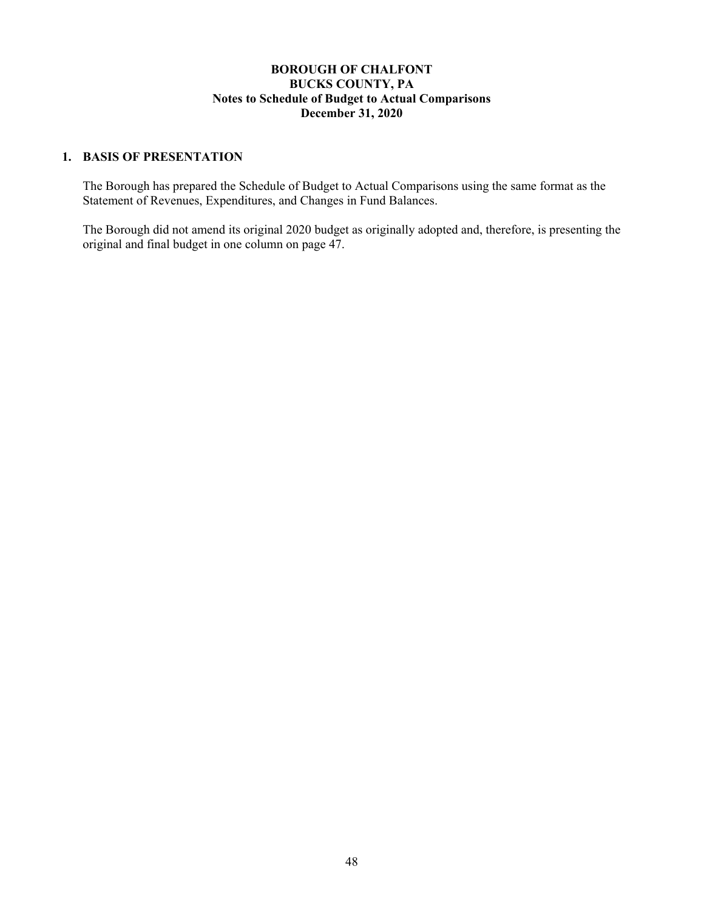# **BOROUGH OF CHALFONT BUCKS COUNTY, PA Notes to Schedule of Budget to Actual Comparisons December 31, 2020**

# **1. BASIS OF PRESENTATION**

The Borough has prepared the Schedule of Budget to Actual Comparisons using the same format as the Statement of Revenues, Expenditures, and Changes in Fund Balances.

The Borough did not amend its original 2020 budget as originally adopted and, therefore, is presenting the original and final budget in one column on page 47.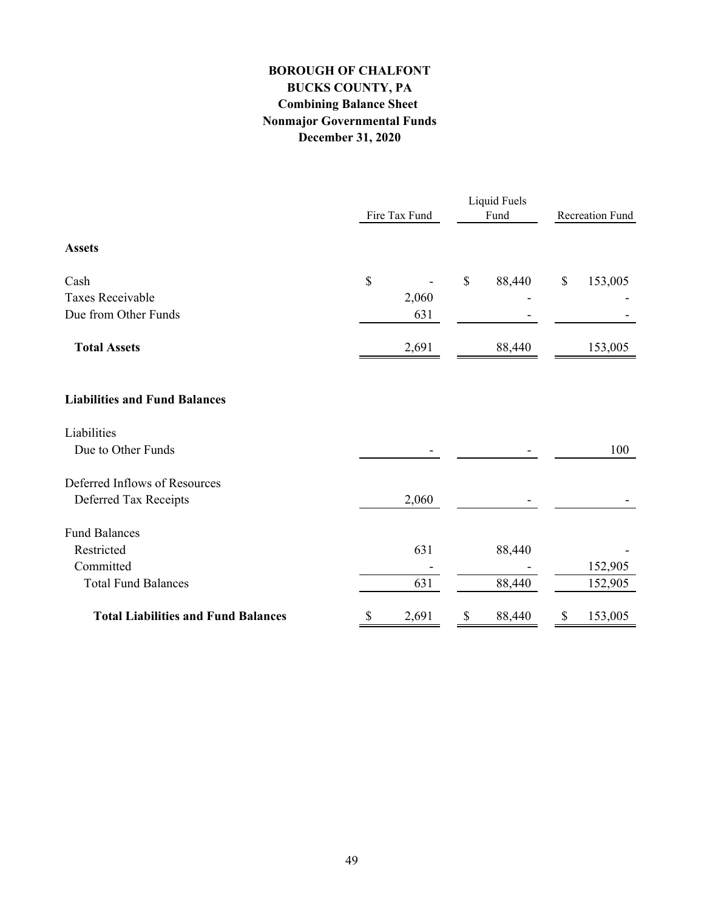# **BOROUGH OF CHALFONT Combining Balance Sheet Nonmajor Governmental Funds December 31, 2020 BUCKS COUNTY, PA**

|                                            | Fire Tax Fund | Liquid Fuels<br>Fund    | Recreation Fund |  |
|--------------------------------------------|---------------|-------------------------|-----------------|--|
| <b>Assets</b>                              |               |                         |                 |  |
| Cash                                       | \$            | $\mathcal{S}$<br>88,440 | \$<br>153,005   |  |
| <b>Taxes Receivable</b>                    | 2,060         |                         |                 |  |
| Due from Other Funds                       | 631           |                         |                 |  |
| <b>Total Assets</b>                        | 2,691         | 88,440                  | 153,005         |  |
| <b>Liabilities and Fund Balances</b>       |               |                         |                 |  |
| Liabilities                                |               |                         |                 |  |
| Due to Other Funds                         |               |                         | 100             |  |
| Deferred Inflows of Resources              |               |                         |                 |  |
| Deferred Tax Receipts                      | 2,060         |                         |                 |  |
| <b>Fund Balances</b>                       |               |                         |                 |  |
| Restricted                                 | 631           | 88,440                  |                 |  |
| Committed                                  |               |                         | 152,905         |  |
| <b>Total Fund Balances</b>                 | 631           | 88,440                  | 152,905         |  |
| <b>Total Liabilities and Fund Balances</b> | 2,691<br>\$   | 88,440<br>\$            | 153,005<br>\$   |  |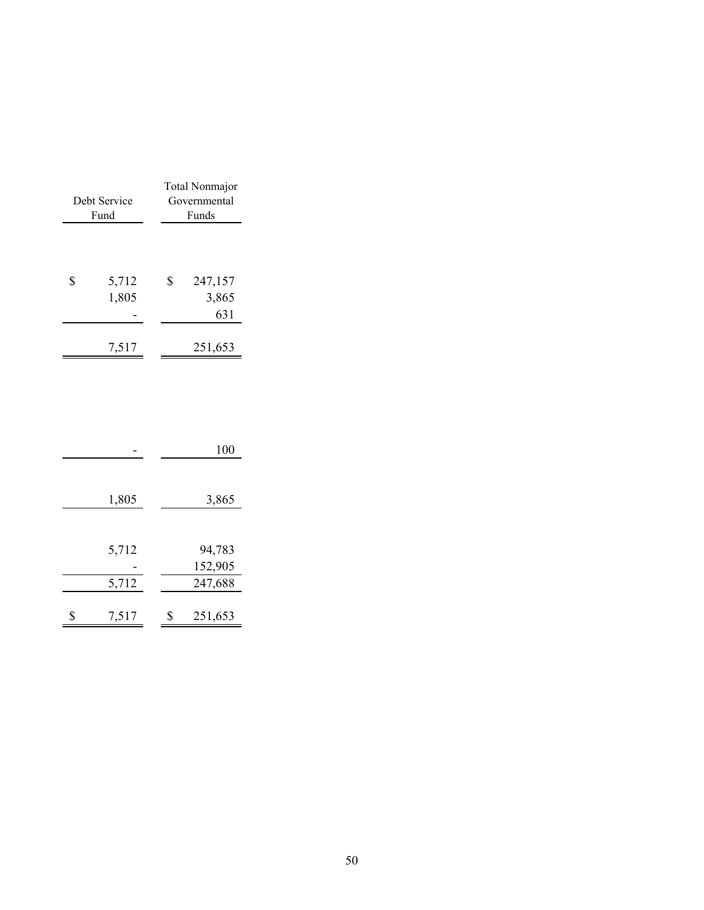|   | Debt Service<br>Fund | Total Nonmajor<br>Governmental<br>Funds |
|---|----------------------|-----------------------------------------|
|   |                      |                                         |
| S | 5,712                | \$<br>247,157                           |
|   | 1,805                | 3,865                                   |
|   |                      | 631                                     |
|   |                      |                                         |
|   | 7,517                | 251,653                                 |

|             | 100           |
|-------------|---------------|
|             |               |
| 1,805       | 3,865         |
|             |               |
| 5,712       | 94,783        |
|             | 152,905       |
| 5,712       | 247,688       |
| \$<br>7,517 | \$<br>251,653 |
|             |               |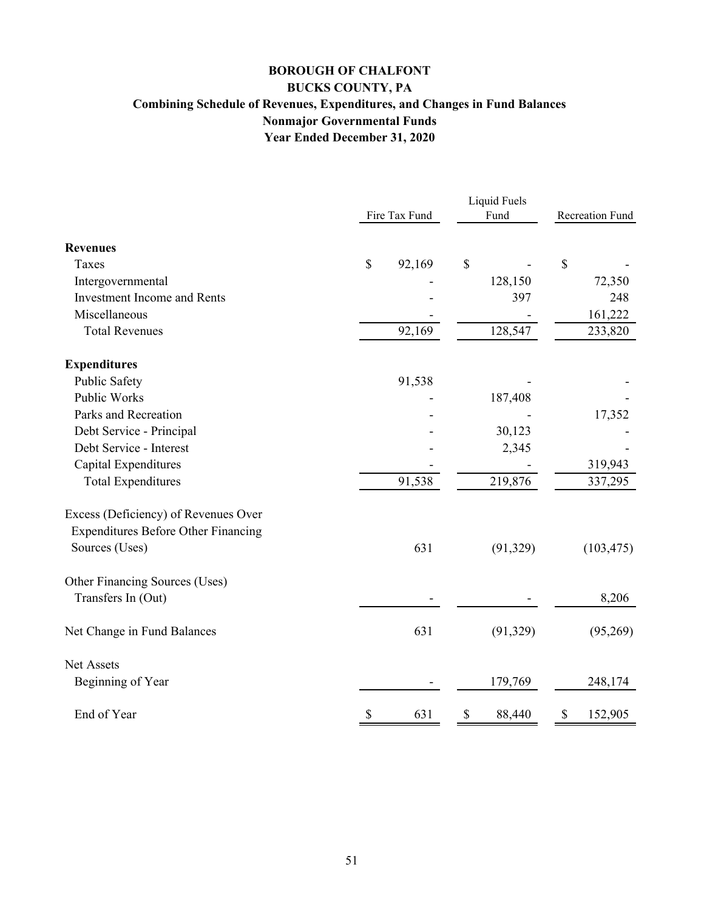# **BOROUGH OF CHALFONT BUCKS COUNTY, PA Combining Schedule of Revenues, Expenditures, and Changes in Fund Balances Nonmajor Governmental Funds Year Ended December 31, 2020**

|                                            | Fire Tax Fund             |        | Liquid Fuels<br>Fund |           | Recreation Fund |            |
|--------------------------------------------|---------------------------|--------|----------------------|-----------|-----------------|------------|
|                                            |                           |        |                      |           |                 |            |
| <b>Revenues</b>                            |                           |        |                      |           |                 |            |
| Taxes                                      | $\boldsymbol{\mathsf{S}}$ | 92,169 | \$                   |           | \$              |            |
| Intergovernmental                          |                           |        |                      | 128,150   |                 | 72,350     |
| Investment Income and Rents                |                           |        |                      | 397       |                 | 248        |
| Miscellaneous                              |                           |        |                      |           |                 | 161,222    |
| <b>Total Revenues</b>                      |                           | 92,169 |                      | 128,547   |                 | 233,820    |
| <b>Expenditures</b>                        |                           |        |                      |           |                 |            |
| Public Safety                              |                           | 91,538 |                      |           |                 |            |
| Public Works                               |                           |        |                      | 187,408   |                 |            |
| Parks and Recreation                       |                           |        |                      |           |                 | 17,352     |
| Debt Service - Principal                   |                           |        |                      | 30,123    |                 |            |
| Debt Service - Interest                    |                           |        |                      | 2,345     |                 |            |
| Capital Expenditures                       |                           |        |                      |           |                 | 319,943    |
| <b>Total Expenditures</b>                  |                           | 91,538 |                      | 219,876   |                 | 337,295    |
| Excess (Deficiency) of Revenues Over       |                           |        |                      |           |                 |            |
| <b>Expenditures Before Other Financing</b> |                           |        |                      |           |                 |            |
| Sources (Uses)                             |                           | 631    |                      | (91, 329) |                 | (103, 475) |
| Other Financing Sources (Uses)             |                           |        |                      |           |                 |            |
| Transfers In (Out)                         |                           |        |                      |           |                 | 8,206      |
| Net Change in Fund Balances                |                           | 631    |                      | (91, 329) |                 | (95,269)   |
| Net Assets                                 |                           |        |                      |           |                 |            |
| Beginning of Year                          |                           |        |                      | 179,769   |                 | 248,174    |
| End of Year                                | $\mathcal{S}$             | 631    | \$                   | 88,440    | \$              | 152,905    |